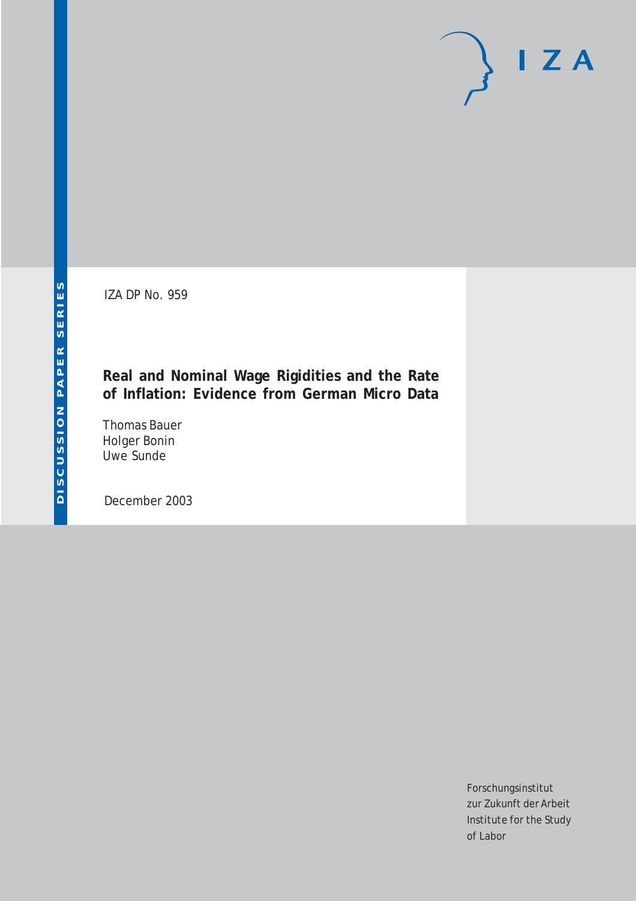IZA DP No. 959

## **Real and Nominal Wage Rigidities and the Rate of Inflation: Evidence from German Micro Data**

Thomas Bauer Holger Bonin Uwe Sunde

December 2003

Forschungsinstitut zur Zukunft der Arbeit Institute for the Study of Labor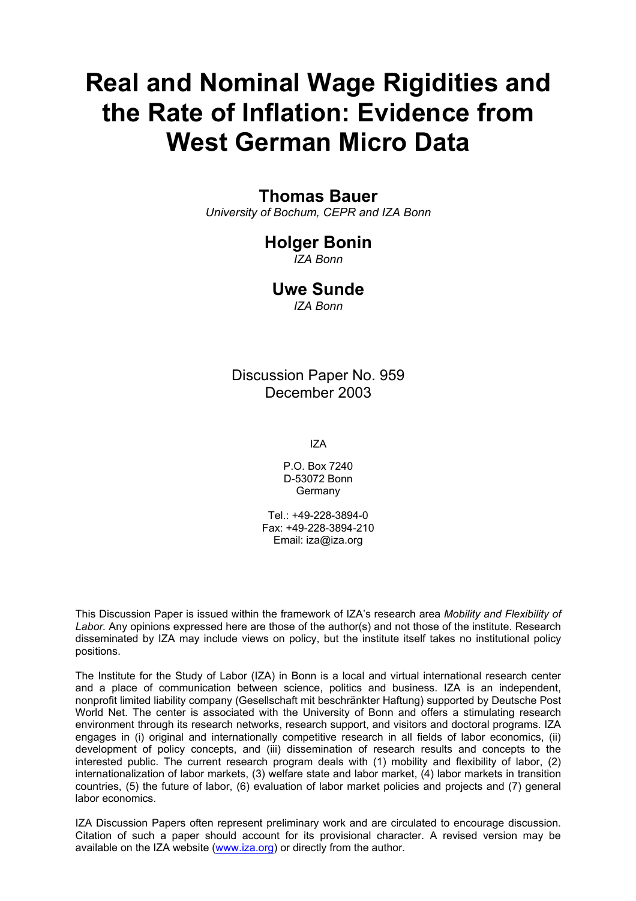# **Real and Nominal Wage Rigidities and the Rate of Inflation: Evidence from West German Micro Data**

## **Thomas Bauer**

*University of Bochum, CEPR and IZA Bonn* 

## **Holger Bonin**

*IZA Bonn* 

## **Uwe Sunde**

*IZA Bonn* 

Discussion Paper No. 959 December 2003

IZA

P.O. Box 7240 D-53072 Bonn **Germany** 

Tel.: +49-228-3894-0 Fax: +49-228-3894-210 Email: [iza@iza.org](mailto:iza@iza.org)

This Discussion Paper is issued within the framework of IZA's research area *Mobility and Flexibility of Labor.* Any opinions expressed here are those of the author(s) and not those of the institute. Research disseminated by IZA may include views on policy, but the institute itself takes no institutional policy positions.

The Institute for the Study of Labor (IZA) in Bonn is a local and virtual international research center and a place of communication between science, politics and business. IZA is an independent, nonprofit limited liability company (Gesellschaft mit beschränkter Haftung) supported by Deutsche Post World Net. The center is associated with the University of Bonn and offers a stimulating research environment through its research networks, research support, and visitors and doctoral programs. IZA engages in (i) original and internationally competitive research in all fields of labor economics, (ii) development of policy concepts, and (iii) dissemination of research results and concepts to the interested public. The current research program deals with (1) mobility and flexibility of labor, (2) internationalization of labor markets, (3) welfare state and labor market, (4) labor markets in transition countries, (5) the future of labor, (6) evaluation of labor market policies and projects and (7) general labor economics.

IZA Discussion Papers often represent preliminary work and are circulated to encourage discussion. Citation of such a paper should account for its provisional character. A revised version may be available on the IZA website ([www.iza.org](http://www.iza.org/)) or directly from the author.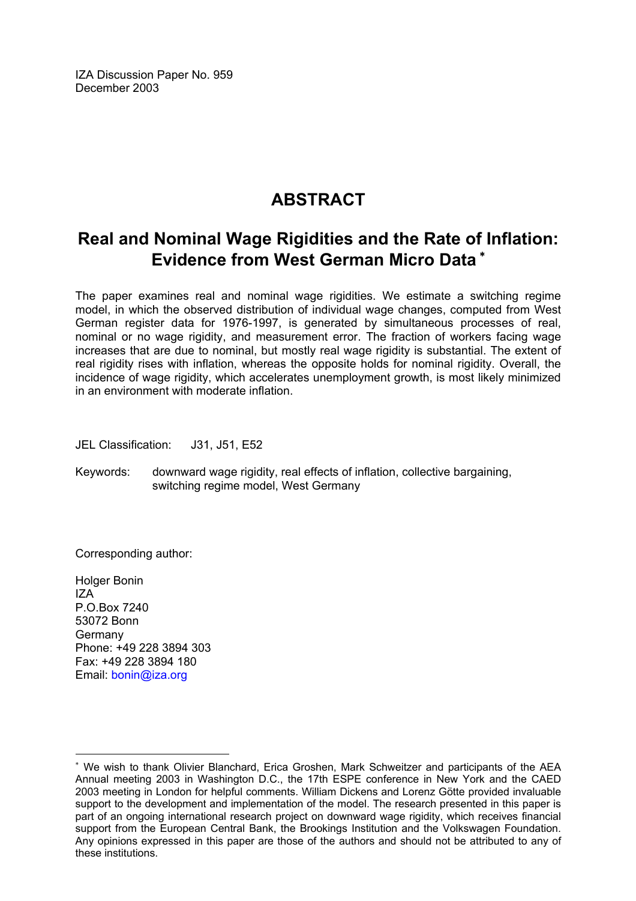IZA Discussion Paper No. 959 December 2003

## **ABSTRACT**

## **Real and Nominal Wage Rigidities and the Rate of Inflation: Evidence from West German Micro Data** [∗](#page-2-0)

The paper examines real and nominal wage rigidities. We estimate a switching regime model, in which the observed distribution of individual wage changes, computed from West German register data for 1976-1997, is generated by simultaneous processes of real, nominal or no wage rigidity, and measurement error. The fraction of workers facing wage increases that are due to nominal, but mostly real wage rigidity is substantial. The extent of real rigidity rises with inflation, whereas the opposite holds for nominal rigidity. Overall, the incidence of wage rigidity, which accelerates unemployment growth, is most likely minimized in an environment with moderate inflation.

JEL Classification: J31, J51, E52

Keywords: downward wage rigidity, real effects of inflation, collective bargaining, switching regime model, West Germany

Corresponding author:

Holger Bonin  $IZA$ P.O.Box 7240 53072 Bonn Germany Phone: +49 228 3894 303 Fax: +49 228 3894 180 Email: [bonin@iza.org](mailto:bonin@iza.org)

<span id="page-2-0"></span><sup>∗</sup> We wish to thank Olivier Blanchard, Erica Groshen, Mark Schweitzer and participants of the AEA Annual meeting 2003 in Washington D.C., the 17th ESPE conference in New York and the CAED 2003 meeting in London for helpful comments. William Dickens and Lorenz Götte provided invaluable support to the development and implementation of the model. The research presented in this paper is part of an ongoing international research project on downward wage rigidity, which receives financial support from the European Central Bank, the Brookings Institution and the Volkswagen Foundation. Any opinions expressed in this paper are those of the authors and should not be attributed to any of these institutions.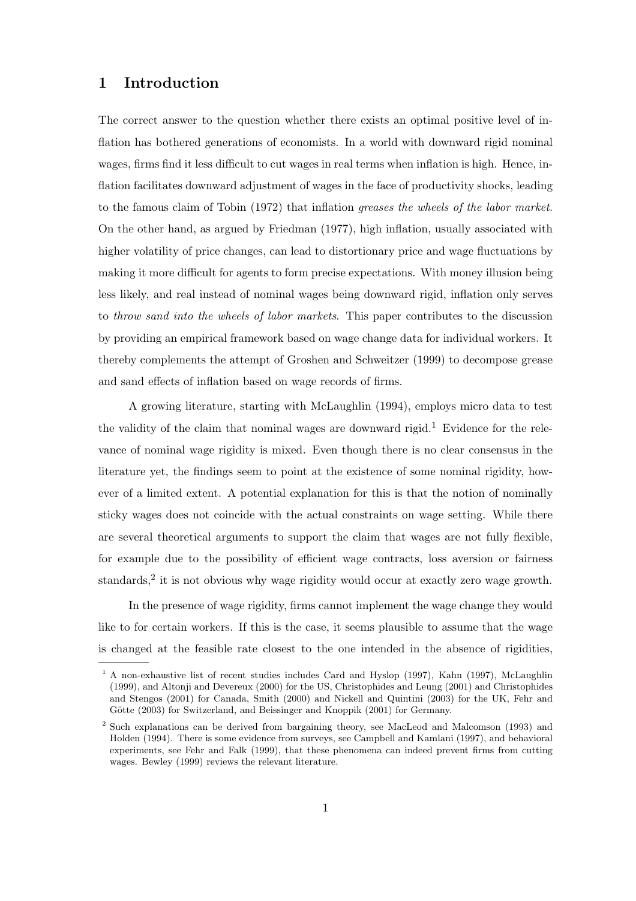## 1 Introduction

The correct answer to the question whether there exists an optimal positive level of inflation has bothered generations of economists. In a world with downward rigid nominal wages, firms find it less difficult to cut wages in real terms when inflation is high. Hence, inflation facilitates downward adjustment of wages in the face of productivity shocks, leading to the famous claim of Tobin (1972) that inflation greases the wheels of the labor market. On the other hand, as argued by Friedman (1977), high inflation, usually associated with higher volatility of price changes, can lead to distortionary price and wage fluctuations by making it more difficult for agents to form precise expectations. With money illusion being less likely, and real instead of nominal wages being downward rigid, inflation only serves to throw sand into the wheels of labor markets. This paper contributes to the discussion by providing an empirical framework based on wage change data for individual workers. It thereby complements the attempt of Groshen and Schweitzer (1999) to decompose grease and sand effects of inflation based on wage records of firms.

A growing literature, starting with McLaughlin (1994), employs micro data to test the validity of the claim that nominal wages are downward rigid.<sup>1</sup> Evidence for the relevance of nominal wage rigidity is mixed. Even though there is no clear consensus in the literature yet, the findings seem to point at the existence of some nominal rigidity, however of a limited extent. A potential explanation for this is that the notion of nominally sticky wages does not coincide with the actual constraints on wage setting. While there are several theoretical arguments to support the claim that wages are not fully flexible, for example due to the possibility of efficient wage contracts, loss aversion or fairness standards,<sup>2</sup> it is not obvious why wage rigidity would occur at exactly zero wage growth.

In the presence of wage rigidity, firms cannot implement the wage change they would like to for certain workers. If this is the case, it seems plausible to assume that the wage is changed at the feasible rate closest to the one intended in the absence of rigidities,

<sup>&</sup>lt;sup>1</sup> A non-exhaustive list of recent studies includes Card and Hyslop (1997), Kahn (1997), McLaughlin (1999), and Altonji and Devereux (2000) for the US, Christophides and Leung (2001) and Christophides and Stengos (2001) for Canada, Smith (2000) and Nickell and Quintini (2003) for the UK, Fehr and Götte (2003) for Switzerland, and Beissinger and Knoppik (2001) for Germany.

<sup>2</sup> Such explanations can be derived from bargaining theory, see MacLeod and Malcomson (1993) and Holden (1994). There is some evidence from surveys, see Campbell and Kamlani (1997), and behavioral experiments, see Fehr and Falk (1999), that these phenomena can indeed prevent firms from cutting wages. Bewley (1999) reviews the relevant literature.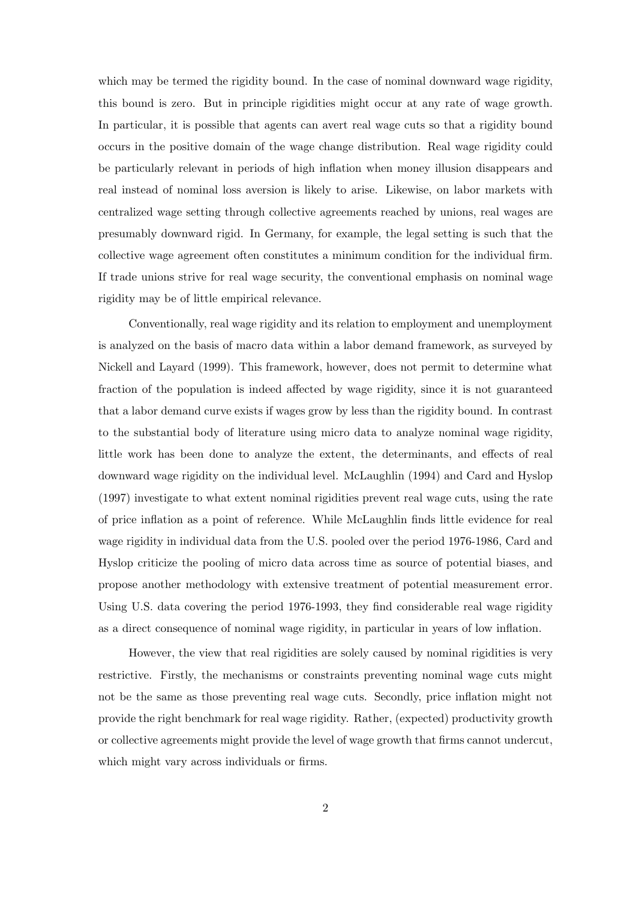which may be termed the rigidity bound. In the case of nominal downward wage rigidity, this bound is zero. But in principle rigidities might occur at any rate of wage growth. In particular, it is possible that agents can avert real wage cuts so that a rigidity bound occurs in the positive domain of the wage change distribution. Real wage rigidity could be particularly relevant in periods of high inflation when money illusion disappears and real instead of nominal loss aversion is likely to arise. Likewise, on labor markets with centralized wage setting through collective agreements reached by unions, real wages are presumably downward rigid. In Germany, for example, the legal setting is such that the collective wage agreement often constitutes a minimum condition for the individual firm. If trade unions strive for real wage security, the conventional emphasis on nominal wage rigidity may be of little empirical relevance.

Conventionally, real wage rigidity and its relation to employment and unemployment is analyzed on the basis of macro data within a labor demand framework, as surveyed by Nickell and Layard (1999). This framework, however, does not permit to determine what fraction of the population is indeed affected by wage rigidity, since it is not guaranteed that a labor demand curve exists if wages grow by less than the rigidity bound. In contrast to the substantial body of literature using micro data to analyze nominal wage rigidity, little work has been done to analyze the extent, the determinants, and effects of real downward wage rigidity on the individual level. McLaughlin (1994) and Card and Hyslop (1997) investigate to what extent nominal rigidities prevent real wage cuts, using the rate of price inflation as a point of reference. While McLaughlin finds little evidence for real wage rigidity in individual data from the U.S. pooled over the period 1976-1986, Card and Hyslop criticize the pooling of micro data across time as source of potential biases, and propose another methodology with extensive treatment of potential measurement error. Using U.S. data covering the period 1976-1993, they find considerable real wage rigidity as a direct consequence of nominal wage rigidity, in particular in years of low inflation.

However, the view that real rigidities are solely caused by nominal rigidities is very restrictive. Firstly, the mechanisms or constraints preventing nominal wage cuts might not be the same as those preventing real wage cuts. Secondly, price inflation might not provide the right benchmark for real wage rigidity. Rather, (expected) productivity growth or collective agreements might provide the level of wage growth that firms cannot undercut, which might vary across individuals or firms.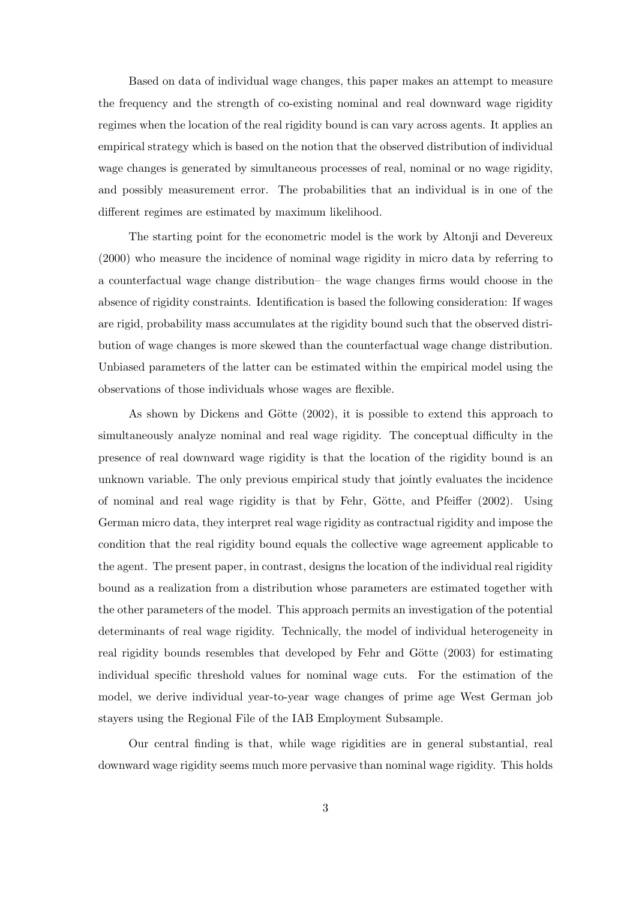Based on data of individual wage changes, this paper makes an attempt to measure the frequency and the strength of co-existing nominal and real downward wage rigidity regimes when the location of the real rigidity bound is can vary across agents. It applies an empirical strategy which is based on the notion that the observed distribution of individual wage changes is generated by simultaneous processes of real, nominal or no wage rigidity, and possibly measurement error. The probabilities that an individual is in one of the different regimes are estimated by maximum likelihood.

The starting point for the econometric model is the work by Altonji and Devereux (2000) who measure the incidence of nominal wage rigidity in micro data by referring to a counterfactual wage change distribution– the wage changes firms would choose in the absence of rigidity constraints. Identification is based the following consideration: If wages are rigid, probability mass accumulates at the rigidity bound such that the observed distribution of wage changes is more skewed than the counterfactual wage change distribution. Unbiased parameters of the latter can be estimated within the empirical model using the observations of those individuals whose wages are flexible.

As shown by Dickens and Götte  $(2002)$ , it is possible to extend this approach to simultaneously analyze nominal and real wage rigidity. The conceptual difficulty in the presence of real downward wage rigidity is that the location of the rigidity bound is an unknown variable. The only previous empirical study that jointly evaluates the incidence of nominal and real wage rigidity is that by Fehr, Götte, and Pfeiffer  $(2002)$ . Using German micro data, they interpret real wage rigidity as contractual rigidity and impose the condition that the real rigidity bound equals the collective wage agreement applicable to the agent. The present paper, in contrast, designs the location of the individual real rigidity bound as a realization from a distribution whose parameters are estimated together with the other parameters of the model. This approach permits an investigation of the potential determinants of real wage rigidity. Technically, the model of individual heterogeneity in real rigidity bounds resembles that developed by Fehr and Götte (2003) for estimating individual specific threshold values for nominal wage cuts. For the estimation of the model, we derive individual year-to-year wage changes of prime age West German job stayers using the Regional File of the IAB Employment Subsample.

Our central finding is that, while wage rigidities are in general substantial, real downward wage rigidity seems much more pervasive than nominal wage rigidity. This holds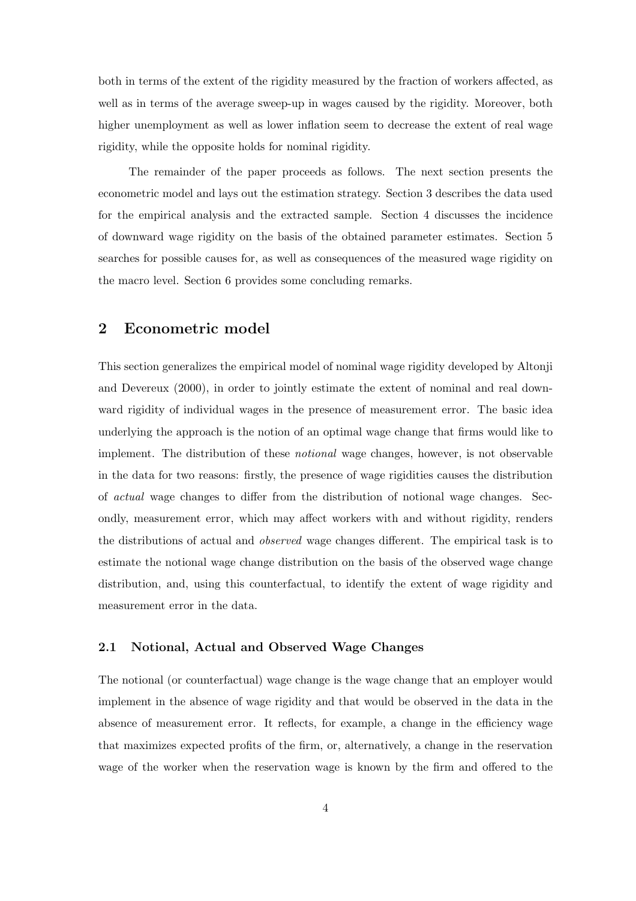both in terms of the extent of the rigidity measured by the fraction of workers affected, as well as in terms of the average sweep-up in wages caused by the rigidity. Moreover, both higher unemployment as well as lower inflation seem to decrease the extent of real wage rigidity, while the opposite holds for nominal rigidity.

The remainder of the paper proceeds as follows. The next section presents the econometric model and lays out the estimation strategy. Section 3 describes the data used for the empirical analysis and the extracted sample. Section 4 discusses the incidence of downward wage rigidity on the basis of the obtained parameter estimates. Section 5 searches for possible causes for, as well as consequences of the measured wage rigidity on the macro level. Section 6 provides some concluding remarks.

## 2 Econometric model

This section generalizes the empirical model of nominal wage rigidity developed by Altonji and Devereux (2000), in order to jointly estimate the extent of nominal and real downward rigidity of individual wages in the presence of measurement error. The basic idea underlying the approach is the notion of an optimal wage change that firms would like to implement. The distribution of these notional wage changes, however, is not observable in the data for two reasons: firstly, the presence of wage rigidities causes the distribution of actual wage changes to differ from the distribution of notional wage changes. Secondly, measurement error, which may affect workers with and without rigidity, renders the distributions of actual and observed wage changes different. The empirical task is to estimate the notional wage change distribution on the basis of the observed wage change distribution, and, using this counterfactual, to identify the extent of wage rigidity and measurement error in the data.

#### 2.1 Notional, Actual and Observed Wage Changes

The notional (or counterfactual) wage change is the wage change that an employer would implement in the absence of wage rigidity and that would be observed in the data in the absence of measurement error. It reflects, for example, a change in the efficiency wage that maximizes expected profits of the firm, or, alternatively, a change in the reservation wage of the worker when the reservation wage is known by the firm and offered to the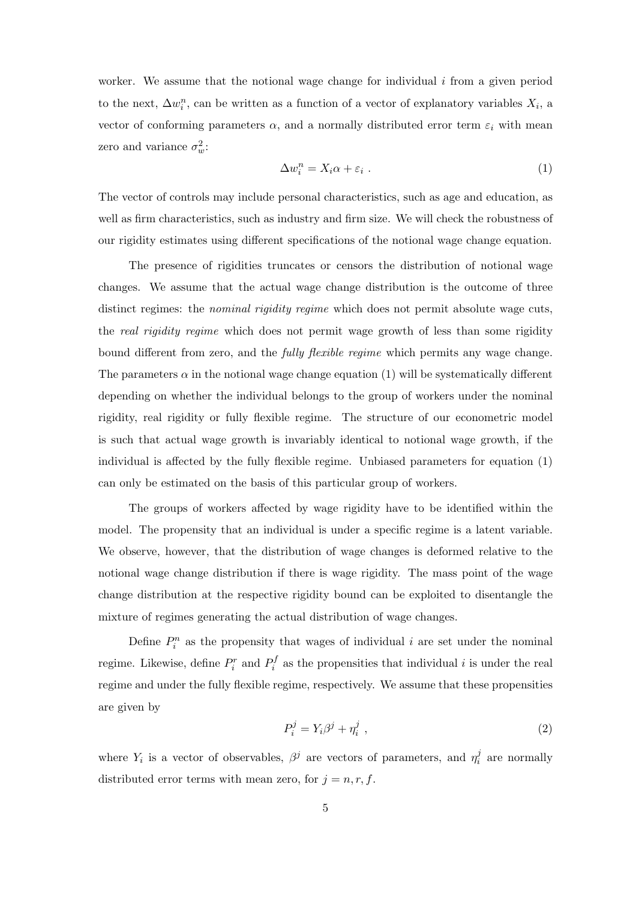worker. We assume that the notional wage change for individual  $i$  from a given period to the next,  $\Delta w_i^n$ , can be written as a function of a vector of explanatory variables  $X_i$ , a vector of conforming parameters  $\alpha$ , and a normally distributed error term  $\varepsilon_i$  with mean zero and variance  $\sigma_w^2$ :

$$
\Delta w_i^n = X_i \alpha + \varepsilon_i \ . \tag{1}
$$

The vector of controls may include personal characteristics, such as age and education, as well as firm characteristics, such as industry and firm size. We will check the robustness of our rigidity estimates using different specifications of the notional wage change equation.

The presence of rigidities truncates or censors the distribution of notional wage changes. We assume that the actual wage change distribution is the outcome of three distinct regimes: the *nominal rigidity regime* which does not permit absolute wage cuts, the real rigidity regime which does not permit wage growth of less than some rigidity bound different from zero, and the fully flexible regime which permits any wage change. The parameters  $\alpha$  in the notional wage change equation (1) will be systematically different depending on whether the individual belongs to the group of workers under the nominal rigidity, real rigidity or fully flexible regime. The structure of our econometric model is such that actual wage growth is invariably identical to notional wage growth, if the individual is affected by the fully flexible regime. Unbiased parameters for equation (1) can only be estimated on the basis of this particular group of workers.

The groups of workers affected by wage rigidity have to be identified within the model. The propensity that an individual is under a specific regime is a latent variable. We observe, however, that the distribution of wage changes is deformed relative to the notional wage change distribution if there is wage rigidity. The mass point of the wage change distribution at the respective rigidity bound can be exploited to disentangle the mixture of regimes generating the actual distribution of wage changes.

Define  $P_i^n$  as the propensity that wages of individual i are set under the nominal regime. Likewise, define  $P_i^r$  and  $P_i^f$  $i_i$  as the propensities that individual i is under the real regime and under the fully flexible regime, respectively. We assume that these propensities are given by

$$
P_i^j = Y_i \beta^j + \eta_i^j \tag{2}
$$

where  $Y_i$  is a vector of observables,  $\beta^j$  are vectors of parameters, and  $\eta_i^j$  $i<sub>i</sub>$  are normally distributed error terms with mean zero, for  $j = n, r, f$ .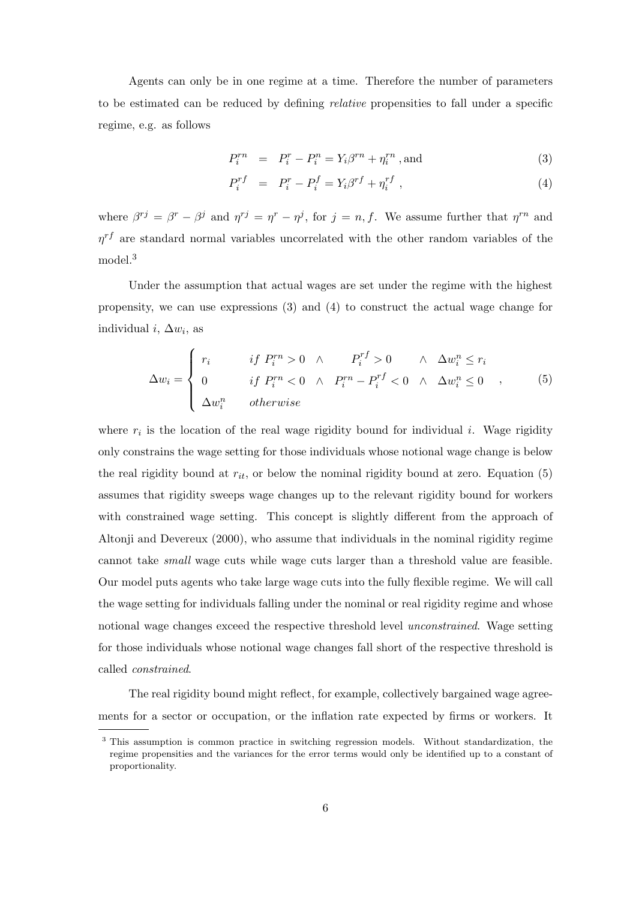Agents can only be in one regime at a time. Therefore the number of parameters to be estimated can be reduced by defining relative propensities to fall under a specific regime, e.g. as follows

$$
P_i^{rn} = P_i^r - P_i^n = Y_i \beta^{rn} + \eta_i^{rn}
$$
, and (3)

$$
P_i^{rf} = P_i^r - P_i^f = Y_i \beta^{rf} + \eta_i^{rf} \,, \tag{4}
$$

where  $\beta^{rj} = \beta^r - \beta^j$  and  $\eta^{rj} = \eta^r - \eta^j$ , for  $j = n, f$ . We assume further that  $\eta^{rn}$  and  $\eta^{rf}$  are standard normal variables uncorrelated with the other random variables of the model.<sup>3</sup>

Under the assumption that actual wages are set under the regime with the highest propensity, we can use expressions (3) and (4) to construct the actual wage change for individual  $i, \Delta w_i$ , as

$$
\Delta w_i = \begin{cases}\n r_i & \text{if } P_i^{rn} > 0 \quad \land \quad P_i^{rf} > 0 \quad \land \quad \Delta w_i^n \le r_i \\
 0 & \text{if } P_i^{rn} < 0 \quad \land \quad P_i^{rn} - P_i^{rf} < 0 \quad \land \quad \Delta w_i^n \le 0 \quad \land \\
 \Delta w_i^n & \text{otherwise}\n\end{cases}\n\tag{5}
$$

where  $r_i$  is the location of the real wage rigidity bound for individual i. Wage rigidity only constrains the wage setting for those individuals whose notional wage change is below the real rigidity bound at  $r_{it}$ , or below the nominal rigidity bound at zero. Equation (5) assumes that rigidity sweeps wage changes up to the relevant rigidity bound for workers with constrained wage setting. This concept is slightly different from the approach of Altonji and Devereux (2000), who assume that individuals in the nominal rigidity regime cannot take small wage cuts while wage cuts larger than a threshold value are feasible. Our model puts agents who take large wage cuts into the fully flexible regime. We will call the wage setting for individuals falling under the nominal or real rigidity regime and whose notional wage changes exceed the respective threshold level *unconstrained*. Wage setting for those individuals whose notional wage changes fall short of the respective threshold is called constrained.

The real rigidity bound might reflect, for example, collectively bargained wage agreements for a sector or occupation, or the inflation rate expected by firms or workers. It

<sup>&</sup>lt;sup>3</sup> This assumption is common practice in switching regression models. Without standardization, the regime propensities and the variances for the error terms would only be identified up to a constant of proportionality.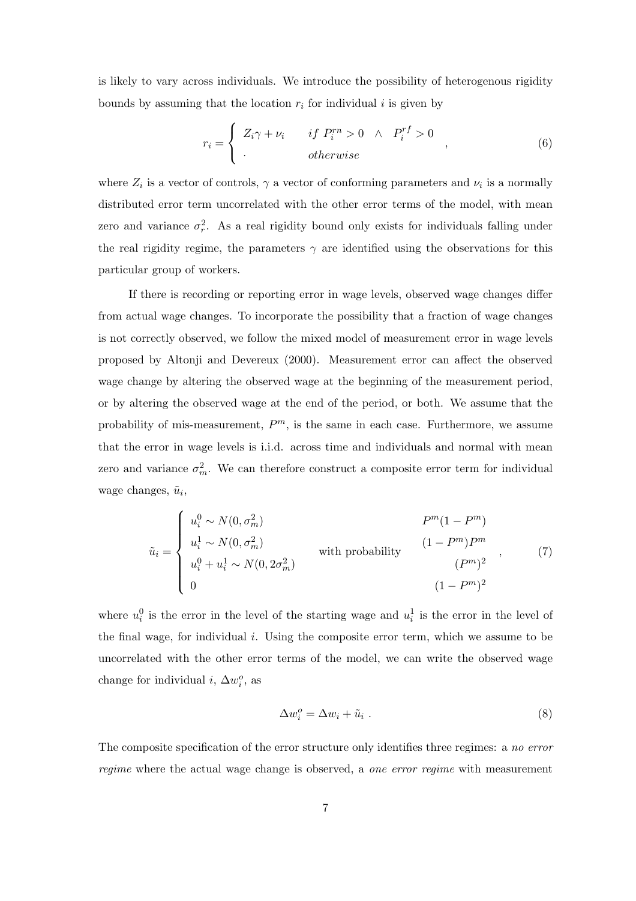is likely to vary across individuals. We introduce the possibility of heterogenous rigidity bounds by assuming that the location  $r_i$  for individual i is given by

$$
r_i = \begin{cases} Z_i \gamma + \nu_i & \text{if } P_i^{rn} > 0 \land P_i^{rf} > 0 \\ . & \text{otherwise} \end{cases} \tag{6}
$$

where  $Z_i$  is a vector of controls,  $\gamma$  a vector of conforming parameters and  $\nu_i$  is a normally distributed error term uncorrelated with the other error terms of the model, with mean zero and variance  $\sigma_r^2$ . As a real rigidity bound only exists for individuals falling under the real rigidity regime, the parameters  $\gamma$  are identified using the observations for this particular group of workers.

If there is recording or reporting error in wage levels, observed wage changes differ from actual wage changes. To incorporate the possibility that a fraction of wage changes is not correctly observed, we follow the mixed model of measurement error in wage levels proposed by Altonji and Devereux (2000). Measurement error can affect the observed wage change by altering the observed wage at the beginning of the measurement period, or by altering the observed wage at the end of the period, or both. We assume that the probability of mis-measurement,  $P<sup>m</sup>$ , is the same in each case. Furthermore, we assume that the error in wage levels is i.i.d. across time and individuals and normal with mean zero and variance  $\sigma_m^2$ . We can therefore construct a composite error term for individual wage changes,  $\tilde{u}_i$ ,

$$
\tilde{u}_i = \begin{cases}\nu_i^0 \sim N(0, \sigma_m^2) & P^m(1 - P^m) \\
u_i^1 \sim N(0, \sigma_m^2) & \text{with probability} \\
u_i^0 + u_i^1 \sim N(0, 2\sigma_m^2) & (P^m)^2 \\
0 & (1 - P^m)^2\n\end{cases},
$$
\n(7)

where  $u_i^0$  is the error in the level of the starting wage and  $u_i^1$  is the error in the level of the final wage, for individual i. Using the composite error term, which we assume to be uncorrelated with the other error terms of the model, we can write the observed wage change for individual *i*,  $\Delta w_i^o$ , as

$$
\Delta w_i^o = \Delta w_i + \tilde{u}_i \ . \tag{8}
$$

The composite specification of the error structure only identifies three regimes: a no error regime where the actual wage change is observed, a one error regime with measurement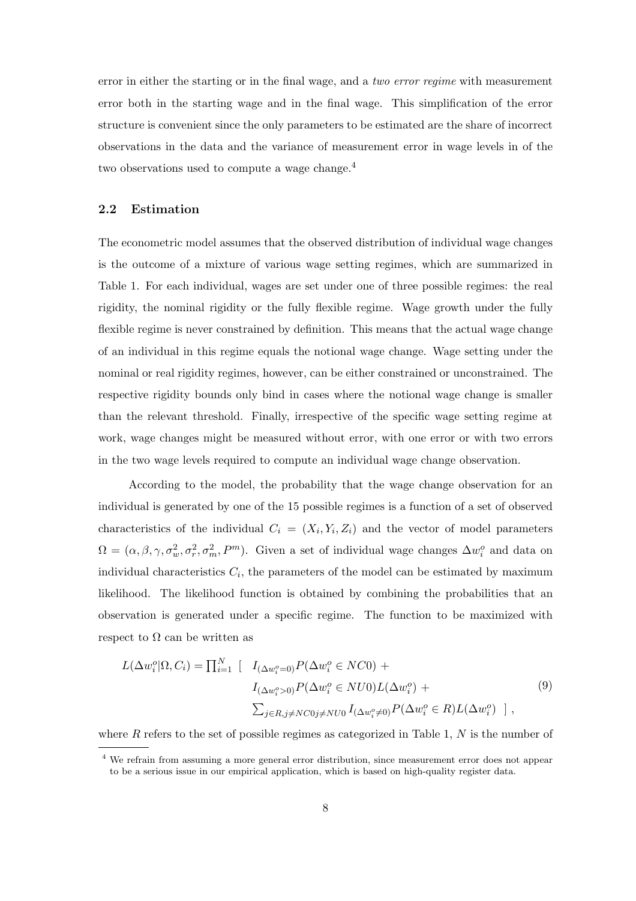error in either the starting or in the final wage, and a two error regime with measurement error both in the starting wage and in the final wage. This simplification of the error structure is convenient since the only parameters to be estimated are the share of incorrect observations in the data and the variance of measurement error in wage levels in of the two observations used to compute a wage change.<sup>4</sup>

#### 2.2 Estimation

The econometric model assumes that the observed distribution of individual wage changes is the outcome of a mixture of various wage setting regimes, which are summarized in Table 1. For each individual, wages are set under one of three possible regimes: the real rigidity, the nominal rigidity or the fully flexible regime. Wage growth under the fully flexible regime is never constrained by definition. This means that the actual wage change of an individual in this regime equals the notional wage change. Wage setting under the nominal or real rigidity regimes, however, can be either constrained or unconstrained. The respective rigidity bounds only bind in cases where the notional wage change is smaller than the relevant threshold. Finally, irrespective of the specific wage setting regime at work, wage changes might be measured without error, with one error or with two errors in the two wage levels required to compute an individual wage change observation.

According to the model, the probability that the wage change observation for an individual is generated by one of the 15 possible regimes is a function of a set of observed characteristics of the individual  $C_i = (X_i, Y_i, Z_i)$  and the vector of model parameters  $\Omega = (\alpha, \beta, \gamma, \sigma_w^2, \sigma_r^2, \sigma_m^2, P^m)$ . Given a set of individual wage changes  $\Delta w_i^o$  and data on individual characteristics  $C_i$ , the parameters of the model can be estimated by maximum likelihood. The likelihood function is obtained by combining the probabilities that an observation is generated under a specific regime. The function to be maximized with respect to  $\Omega$  can be written as

$$
L(\Delta w_i^o | \Omega, C_i) = \prod_{i=1}^N \left[ I_{(\Delta w_i^o = 0)} P(\Delta w_i^o \in NC0) + I_{(\Delta w_i^o > 0)} P(\Delta w_i^o \in NU0) L(\Delta w_i^o) + \sum_{j \in R, j \ne NC0 j \ne NU0} I_{(\Delta w_i^o \ne 0)} P(\Delta w_i^o \in R) L(\Delta w_i^o) \right],
$$
\n(9)

where  $R$  refers to the set of possible regimes as categorized in Table 1,  $N$  is the number of

<sup>4</sup> We refrain from assuming a more general error distribution, since measurement error does not appear to be a serious issue in our empirical application, which is based on high-quality register data.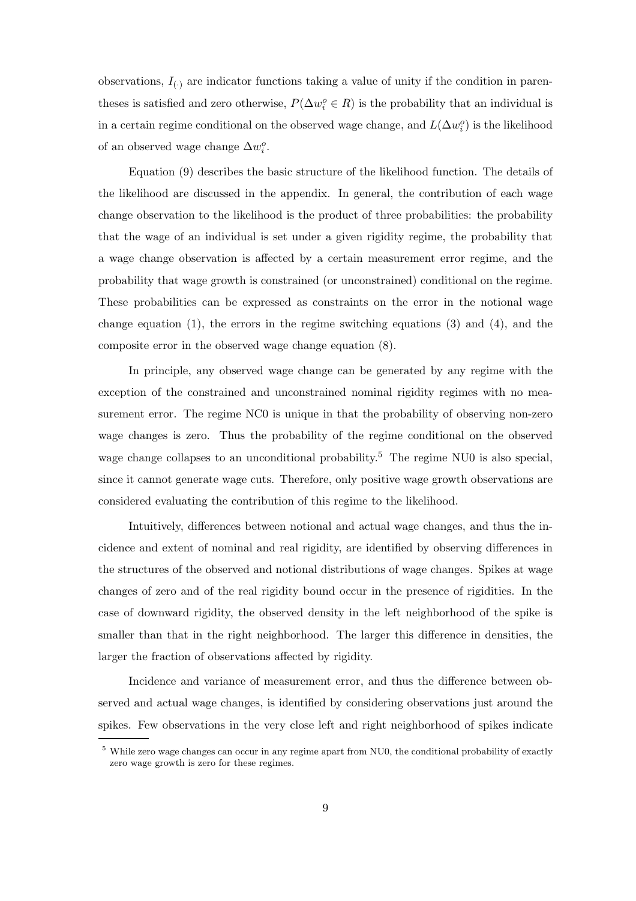observations,  $I_{(.)}$  are indicator functions taking a value of unity if the condition in parentheses is satisfied and zero otherwise,  $P(\Delta w_i^o \in R)$  is the probability that an individual is in a certain regime conditional on the observed wage change, and  $L(\Delta w_i^o)$  is the likelihood of an observed wage change  $\Delta w_i^o$ .

Equation (9) describes the basic structure of the likelihood function. The details of the likelihood are discussed in the appendix. In general, the contribution of each wage change observation to the likelihood is the product of three probabilities: the probability that the wage of an individual is set under a given rigidity regime, the probability that a wage change observation is affected by a certain measurement error regime, and the probability that wage growth is constrained (or unconstrained) conditional on the regime. These probabilities can be expressed as constraints on the error in the notional wage change equation  $(1)$ , the errors in the regime switching equations  $(3)$  and  $(4)$ , and the composite error in the observed wage change equation (8).

In principle, any observed wage change can be generated by any regime with the exception of the constrained and unconstrained nominal rigidity regimes with no measurement error. The regime NC0 is unique in that the probability of observing non-zero wage changes is zero. Thus the probability of the regime conditional on the observed wage change collapses to an unconditional probability.<sup>5</sup> The regime NU0 is also special, since it cannot generate wage cuts. Therefore, only positive wage growth observations are considered evaluating the contribution of this regime to the likelihood.

Intuitively, differences between notional and actual wage changes, and thus the incidence and extent of nominal and real rigidity, are identified by observing differences in the structures of the observed and notional distributions of wage changes. Spikes at wage changes of zero and of the real rigidity bound occur in the presence of rigidities. In the case of downward rigidity, the observed density in the left neighborhood of the spike is smaller than that in the right neighborhood. The larger this difference in densities, the larger the fraction of observations affected by rigidity.

Incidence and variance of measurement error, and thus the difference between observed and actual wage changes, is identified by considering observations just around the spikes. Few observations in the very close left and right neighborhood of spikes indicate

<sup>&</sup>lt;sup>5</sup> While zero wage changes can occur in any regime apart from NU0, the conditional probability of exactly zero wage growth is zero for these regimes.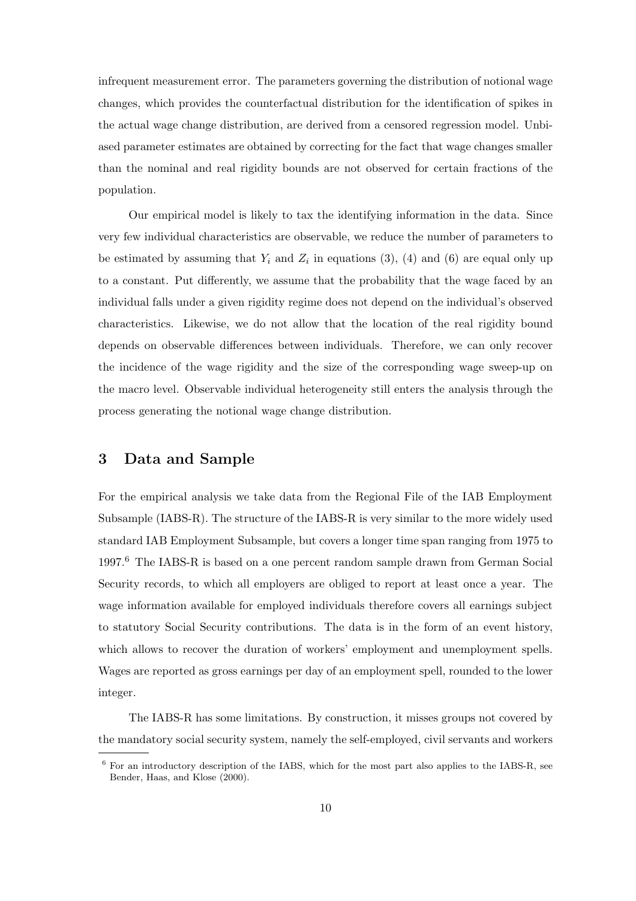infrequent measurement error. The parameters governing the distribution of notional wage changes, which provides the counterfactual distribution for the identification of spikes in the actual wage change distribution, are derived from a censored regression model. Unbiased parameter estimates are obtained by correcting for the fact that wage changes smaller than the nominal and real rigidity bounds are not observed for certain fractions of the population.

Our empirical model is likely to tax the identifying information in the data. Since very few individual characteristics are observable, we reduce the number of parameters to be estimated by assuming that  $Y_i$  and  $Z_i$  in equations (3), (4) and (6) are equal only up to a constant. Put differently, we assume that the probability that the wage faced by an individual falls under a given rigidity regime does not depend on the individual's observed characteristics. Likewise, we do not allow that the location of the real rigidity bound depends on observable differences between individuals. Therefore, we can only recover the incidence of the wage rigidity and the size of the corresponding wage sweep-up on the macro level. Observable individual heterogeneity still enters the analysis through the process generating the notional wage change distribution.

### 3 Data and Sample

For the empirical analysis we take data from the Regional File of the IAB Employment Subsample (IABS-R). The structure of the IABS-R is very similar to the more widely used standard IAB Employment Subsample, but covers a longer time span ranging from 1975 to 1997.<sup>6</sup> The IABS-R is based on a one percent random sample drawn from German Social Security records, to which all employers are obliged to report at least once a year. The wage information available for employed individuals therefore covers all earnings subject to statutory Social Security contributions. The data is in the form of an event history, which allows to recover the duration of workers' employment and unemployment spells. Wages are reported as gross earnings per day of an employment spell, rounded to the lower integer.

The IABS-R has some limitations. By construction, it misses groups not covered by the mandatory social security system, namely the self-employed, civil servants and workers

 $6$  For an introductory description of the IABS, which for the most part also applies to the IABS-R, see Bender, Haas, and Klose (2000).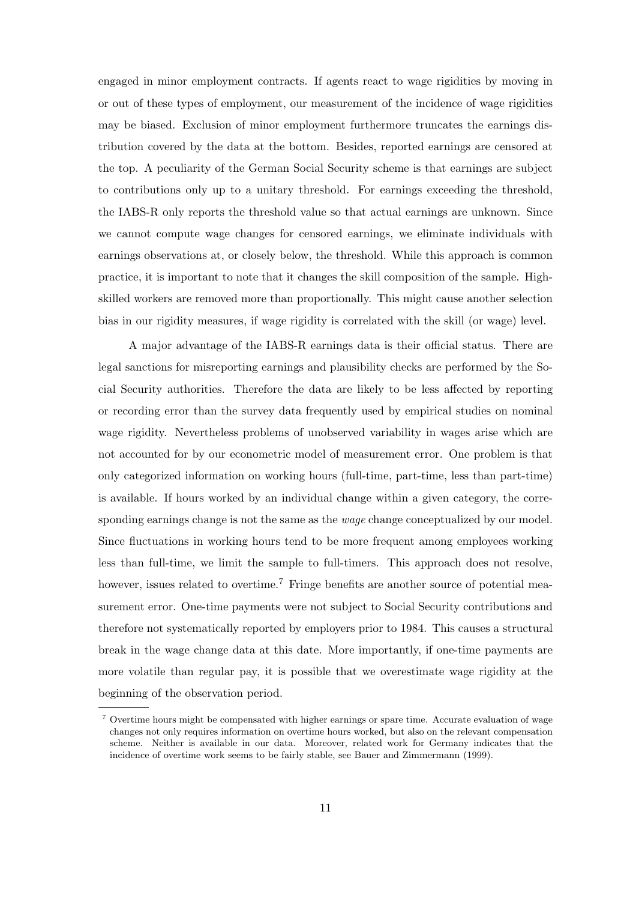engaged in minor employment contracts. If agents react to wage rigidities by moving in or out of these types of employment, our measurement of the incidence of wage rigidities may be biased. Exclusion of minor employment furthermore truncates the earnings distribution covered by the data at the bottom. Besides, reported earnings are censored at the top. A peculiarity of the German Social Security scheme is that earnings are subject to contributions only up to a unitary threshold. For earnings exceeding the threshold, the IABS-R only reports the threshold value so that actual earnings are unknown. Since we cannot compute wage changes for censored earnings, we eliminate individuals with earnings observations at, or closely below, the threshold. While this approach is common practice, it is important to note that it changes the skill composition of the sample. Highskilled workers are removed more than proportionally. This might cause another selection bias in our rigidity measures, if wage rigidity is correlated with the skill (or wage) level.

A major advantage of the IABS-R earnings data is their official status. There are legal sanctions for misreporting earnings and plausibility checks are performed by the Social Security authorities. Therefore the data are likely to be less affected by reporting or recording error than the survey data frequently used by empirical studies on nominal wage rigidity. Nevertheless problems of unobserved variability in wages arise which are not accounted for by our econometric model of measurement error. One problem is that only categorized information on working hours (full-time, part-time, less than part-time) is available. If hours worked by an individual change within a given category, the corresponding earnings change is not the same as the *wage* change conceptualized by our model. Since fluctuations in working hours tend to be more frequent among employees working less than full-time, we limit the sample to full-timers. This approach does not resolve, however, issues related to overtime.<sup>7</sup> Fringe benefits are another source of potential measurement error. One-time payments were not subject to Social Security contributions and therefore not systematically reported by employers prior to 1984. This causes a structural break in the wage change data at this date. More importantly, if one-time payments are more volatile than regular pay, it is possible that we overestimate wage rigidity at the beginning of the observation period.

 $7$  Overtime hours might be compensated with higher earnings or spare time. Accurate evaluation of wage changes not only requires information on overtime hours worked, but also on the relevant compensation scheme. Neither is available in our data. Moreover, related work for Germany indicates that the incidence of overtime work seems to be fairly stable, see Bauer and Zimmermann (1999).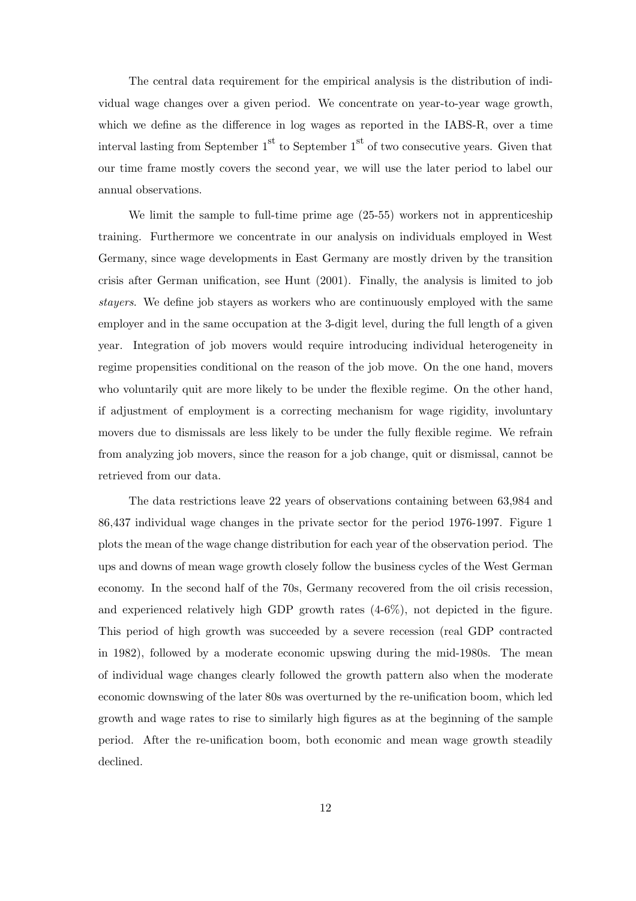The central data requirement for the empirical analysis is the distribution of individual wage changes over a given period. We concentrate on year-to-year wage growth, which we define as the difference in log wages as reported in the IABS-R, over a time interval lasting from September  $1<sup>st</sup>$  to September  $1<sup>st</sup>$  of two consecutive years. Given that our time frame mostly covers the second year, we will use the later period to label our annual observations.

We limit the sample to full-time prime age (25-55) workers not in apprenticeship training. Furthermore we concentrate in our analysis on individuals employed in West Germany, since wage developments in East Germany are mostly driven by the transition crisis after German unification, see Hunt (2001). Finally, the analysis is limited to job stayers. We define job stayers as workers who are continuously employed with the same employer and in the same occupation at the 3-digit level, during the full length of a given year. Integration of job movers would require introducing individual heterogeneity in regime propensities conditional on the reason of the job move. On the one hand, movers who voluntarily quit are more likely to be under the flexible regime. On the other hand, if adjustment of employment is a correcting mechanism for wage rigidity, involuntary movers due to dismissals are less likely to be under the fully flexible regime. We refrain from analyzing job movers, since the reason for a job change, quit or dismissal, cannot be retrieved from our data.

The data restrictions leave 22 years of observations containing between 63,984 and 86,437 individual wage changes in the private sector for the period 1976-1997. Figure 1 plots the mean of the wage change distribution for each year of the observation period. The ups and downs of mean wage growth closely follow the business cycles of the West German economy. In the second half of the 70s, Germany recovered from the oil crisis recession, and experienced relatively high GDP growth rates (4-6%), not depicted in the figure. This period of high growth was succeeded by a severe recession (real GDP contracted in 1982), followed by a moderate economic upswing during the mid-1980s. The mean of individual wage changes clearly followed the growth pattern also when the moderate economic downswing of the later 80s was overturned by the re-unification boom, which led growth and wage rates to rise to similarly high figures as at the beginning of the sample period. After the re-unification boom, both economic and mean wage growth steadily declined.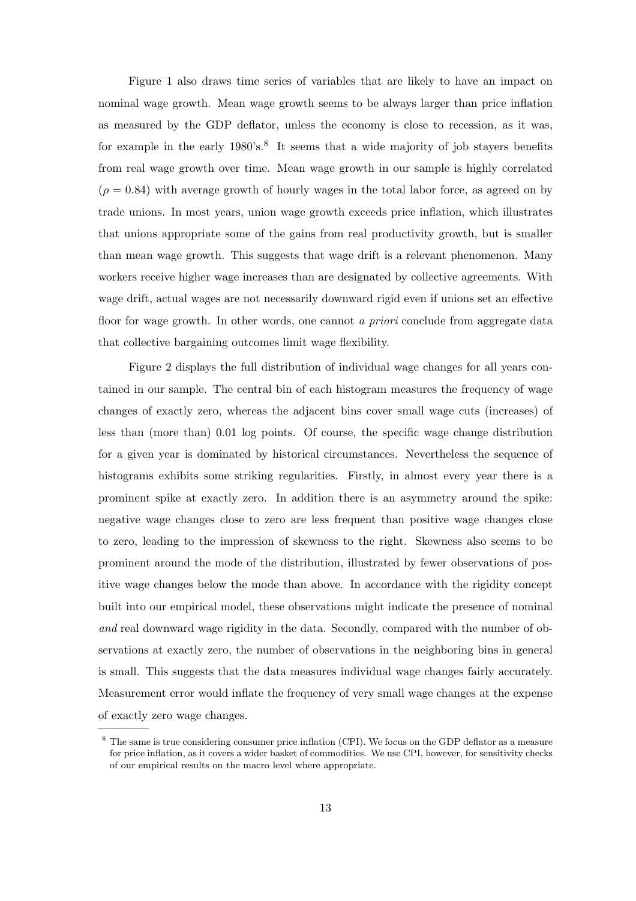Figure 1 also draws time series of variables that are likely to have an impact on nominal wage growth. Mean wage growth seems to be always larger than price inflation as measured by the GDP deflator, unless the economy is close to recession, as it was, for example in the early 1980's.<sup>8</sup> It seems that a wide majority of job stayers benefits from real wage growth over time. Mean wage growth in our sample is highly correlated  $(\rho = 0.84)$  with average growth of hourly wages in the total labor force, as agreed on by trade unions. In most years, union wage growth exceeds price inflation, which illustrates that unions appropriate some of the gains from real productivity growth, but is smaller than mean wage growth. This suggests that wage drift is a relevant phenomenon. Many workers receive higher wage increases than are designated by collective agreements. With wage drift, actual wages are not necessarily downward rigid even if unions set an effective floor for wage growth. In other words, one cannot a priori conclude from aggregate data that collective bargaining outcomes limit wage flexibility.

Figure 2 displays the full distribution of individual wage changes for all years contained in our sample. The central bin of each histogram measures the frequency of wage changes of exactly zero, whereas the adjacent bins cover small wage cuts (increases) of less than (more than) 0.01 log points. Of course, the specific wage change distribution for a given year is dominated by historical circumstances. Nevertheless the sequence of histograms exhibits some striking regularities. Firstly, in almost every year there is a prominent spike at exactly zero. In addition there is an asymmetry around the spike: negative wage changes close to zero are less frequent than positive wage changes close to zero, leading to the impression of skewness to the right. Skewness also seems to be prominent around the mode of the distribution, illustrated by fewer observations of positive wage changes below the mode than above. In accordance with the rigidity concept built into our empirical model, these observations might indicate the presence of nominal and real downward wage rigidity in the data. Secondly, compared with the number of observations at exactly zero, the number of observations in the neighboring bins in general is small. This suggests that the data measures individual wage changes fairly accurately. Measurement error would inflate the frequency of very small wage changes at the expense of exactly zero wage changes.

<sup>8</sup> The same is true considering consumer price inflation (CPI). We focus on the GDP deflator as a measure for price inflation, as it covers a wider basket of commodities. We use CPI, however, for sensitivity checks of our empirical results on the macro level where appropriate.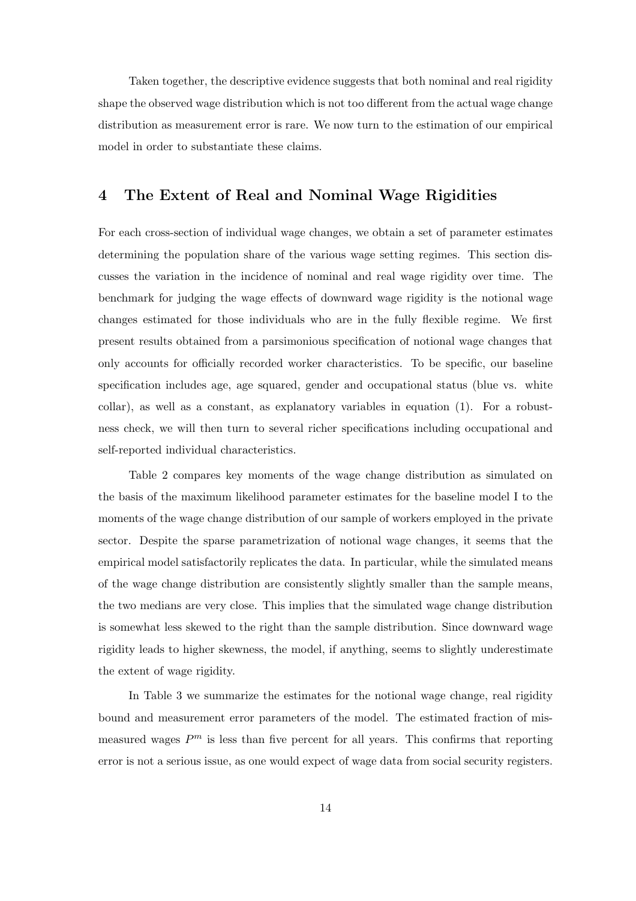Taken together, the descriptive evidence suggests that both nominal and real rigidity shape the observed wage distribution which is not too different from the actual wage change distribution as measurement error is rare. We now turn to the estimation of our empirical model in order to substantiate these claims.

### 4 The Extent of Real and Nominal Wage Rigidities

For each cross-section of individual wage changes, we obtain a set of parameter estimates determining the population share of the various wage setting regimes. This section discusses the variation in the incidence of nominal and real wage rigidity over time. The benchmark for judging the wage effects of downward wage rigidity is the notional wage changes estimated for those individuals who are in the fully flexible regime. We first present results obtained from a parsimonious specification of notional wage changes that only accounts for officially recorded worker characteristics. To be specific, our baseline specification includes age, age squared, gender and occupational status (blue vs. white collar), as well as a constant, as explanatory variables in equation (1). For a robustness check, we will then turn to several richer specifications including occupational and self-reported individual characteristics.

Table 2 compares key moments of the wage change distribution as simulated on the basis of the maximum likelihood parameter estimates for the baseline model I to the moments of the wage change distribution of our sample of workers employed in the private sector. Despite the sparse parametrization of notional wage changes, it seems that the empirical model satisfactorily replicates the data. In particular, while the simulated means of the wage change distribution are consistently slightly smaller than the sample means, the two medians are very close. This implies that the simulated wage change distribution is somewhat less skewed to the right than the sample distribution. Since downward wage rigidity leads to higher skewness, the model, if anything, seems to slightly underestimate the extent of wage rigidity.

In Table 3 we summarize the estimates for the notional wage change, real rigidity bound and measurement error parameters of the model. The estimated fraction of mismeasured wages  $P<sup>m</sup>$  is less than five percent for all years. This confirms that reporting error is not a serious issue, as one would expect of wage data from social security registers.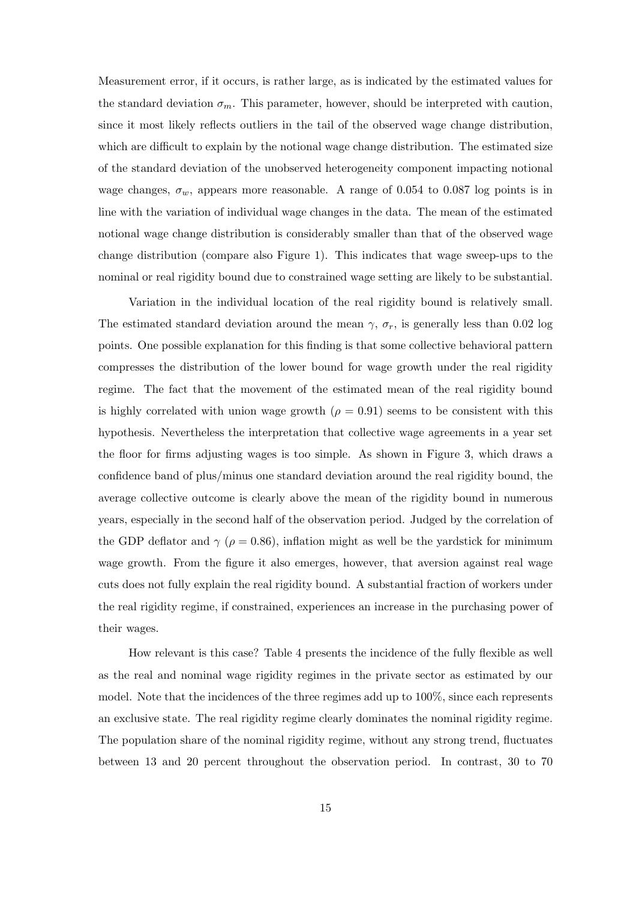Measurement error, if it occurs, is rather large, as is indicated by the estimated values for the standard deviation  $\sigma_m$ . This parameter, however, should be interpreted with caution, since it most likely reflects outliers in the tail of the observed wage change distribution, which are difficult to explain by the notional wage change distribution. The estimated size of the standard deviation of the unobserved heterogeneity component impacting notional wage changes,  $\sigma_w$ , appears more reasonable. A range of 0.054 to 0.087 log points is in line with the variation of individual wage changes in the data. The mean of the estimated notional wage change distribution is considerably smaller than that of the observed wage change distribution (compare also Figure 1). This indicates that wage sweep-ups to the nominal or real rigidity bound due to constrained wage setting are likely to be substantial.

Variation in the individual location of the real rigidity bound is relatively small. The estimated standard deviation around the mean  $\gamma$ ,  $\sigma_r$ , is generally less than 0.02 log points. One possible explanation for this finding is that some collective behavioral pattern compresses the distribution of the lower bound for wage growth under the real rigidity regime. The fact that the movement of the estimated mean of the real rigidity bound is highly correlated with union wage growth  $(\rho = 0.91)$  seems to be consistent with this hypothesis. Nevertheless the interpretation that collective wage agreements in a year set the floor for firms adjusting wages is too simple. As shown in Figure 3, which draws a confidence band of plus/minus one standard deviation around the real rigidity bound, the average collective outcome is clearly above the mean of the rigidity bound in numerous years, especially in the second half of the observation period. Judged by the correlation of the GDP deflator and  $\gamma$  ( $\rho = 0.86$ ), inflation might as well be the yardstick for minimum wage growth. From the figure it also emerges, however, that aversion against real wage cuts does not fully explain the real rigidity bound. A substantial fraction of workers under the real rigidity regime, if constrained, experiences an increase in the purchasing power of their wages.

How relevant is this case? Table 4 presents the incidence of the fully flexible as well as the real and nominal wage rigidity regimes in the private sector as estimated by our model. Note that the incidences of the three regimes add up to 100%, since each represents an exclusive state. The real rigidity regime clearly dominates the nominal rigidity regime. The population share of the nominal rigidity regime, without any strong trend, fluctuates between 13 and 20 percent throughout the observation period. In contrast, 30 to 70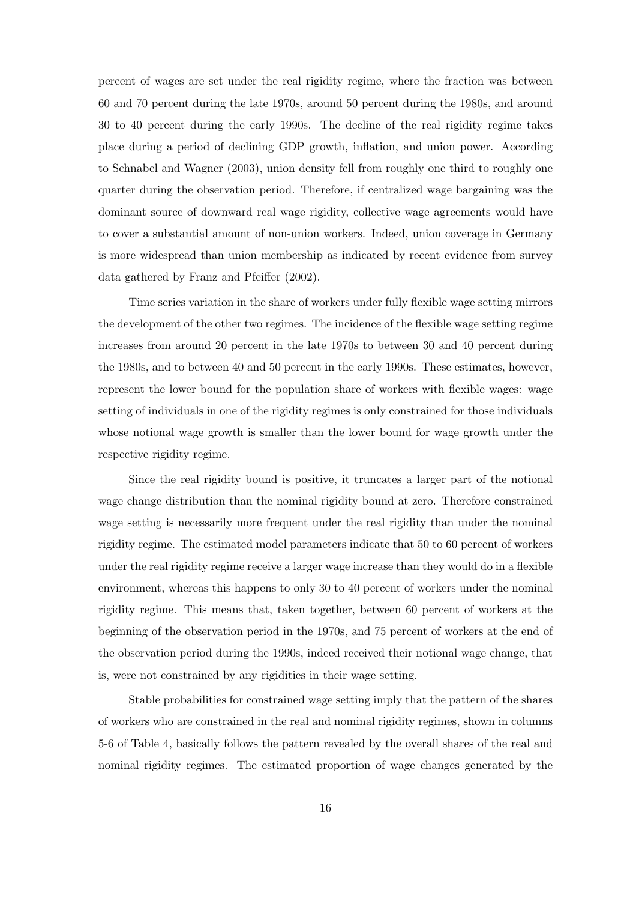percent of wages are set under the real rigidity regime, where the fraction was between 60 and 70 percent during the late 1970s, around 50 percent during the 1980s, and around 30 to 40 percent during the early 1990s. The decline of the real rigidity regime takes place during a period of declining GDP growth, inflation, and union power. According to Schnabel and Wagner (2003), union density fell from roughly one third to roughly one quarter during the observation period. Therefore, if centralized wage bargaining was the dominant source of downward real wage rigidity, collective wage agreements would have to cover a substantial amount of non-union workers. Indeed, union coverage in Germany is more widespread than union membership as indicated by recent evidence from survey data gathered by Franz and Pfeiffer (2002).

Time series variation in the share of workers under fully flexible wage setting mirrors the development of the other two regimes. The incidence of the flexible wage setting regime increases from around 20 percent in the late 1970s to between 30 and 40 percent during the 1980s, and to between 40 and 50 percent in the early 1990s. These estimates, however, represent the lower bound for the population share of workers with flexible wages: wage setting of individuals in one of the rigidity regimes is only constrained for those individuals whose notional wage growth is smaller than the lower bound for wage growth under the respective rigidity regime.

Since the real rigidity bound is positive, it truncates a larger part of the notional wage change distribution than the nominal rigidity bound at zero. Therefore constrained wage setting is necessarily more frequent under the real rigidity than under the nominal rigidity regime. The estimated model parameters indicate that 50 to 60 percent of workers under the real rigidity regime receive a larger wage increase than they would do in a flexible environment, whereas this happens to only 30 to 40 percent of workers under the nominal rigidity regime. This means that, taken together, between 60 percent of workers at the beginning of the observation period in the 1970s, and 75 percent of workers at the end of the observation period during the 1990s, indeed received their notional wage change, that is, were not constrained by any rigidities in their wage setting.

Stable probabilities for constrained wage setting imply that the pattern of the shares of workers who are constrained in the real and nominal rigidity regimes, shown in columns 5-6 of Table 4, basically follows the pattern revealed by the overall shares of the real and nominal rigidity regimes. The estimated proportion of wage changes generated by the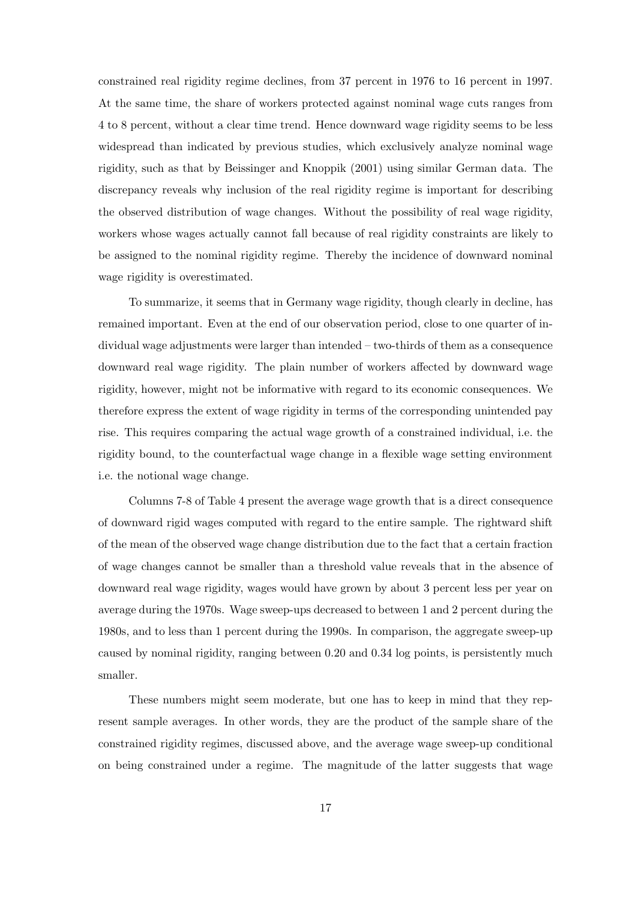constrained real rigidity regime declines, from 37 percent in 1976 to 16 percent in 1997. At the same time, the share of workers protected against nominal wage cuts ranges from 4 to 8 percent, without a clear time trend. Hence downward wage rigidity seems to be less widespread than indicated by previous studies, which exclusively analyze nominal wage rigidity, such as that by Beissinger and Knoppik (2001) using similar German data. The discrepancy reveals why inclusion of the real rigidity regime is important for describing the observed distribution of wage changes. Without the possibility of real wage rigidity, workers whose wages actually cannot fall because of real rigidity constraints are likely to be assigned to the nominal rigidity regime. Thereby the incidence of downward nominal wage rigidity is overestimated.

To summarize, it seems that in Germany wage rigidity, though clearly in decline, has remained important. Even at the end of our observation period, close to one quarter of individual wage adjustments were larger than intended – two-thirds of them as a consequence downward real wage rigidity. The plain number of workers affected by downward wage rigidity, however, might not be informative with regard to its economic consequences. We therefore express the extent of wage rigidity in terms of the corresponding unintended pay rise. This requires comparing the actual wage growth of a constrained individual, i.e. the rigidity bound, to the counterfactual wage change in a flexible wage setting environment i.e. the notional wage change.

Columns 7-8 of Table 4 present the average wage growth that is a direct consequence of downward rigid wages computed with regard to the entire sample. The rightward shift of the mean of the observed wage change distribution due to the fact that a certain fraction of wage changes cannot be smaller than a threshold value reveals that in the absence of downward real wage rigidity, wages would have grown by about 3 percent less per year on average during the 1970s. Wage sweep-ups decreased to between 1 and 2 percent during the 1980s, and to less than 1 percent during the 1990s. In comparison, the aggregate sweep-up caused by nominal rigidity, ranging between 0.20 and 0.34 log points, is persistently much smaller.

These numbers might seem moderate, but one has to keep in mind that they represent sample averages. In other words, they are the product of the sample share of the constrained rigidity regimes, discussed above, and the average wage sweep-up conditional on being constrained under a regime. The magnitude of the latter suggests that wage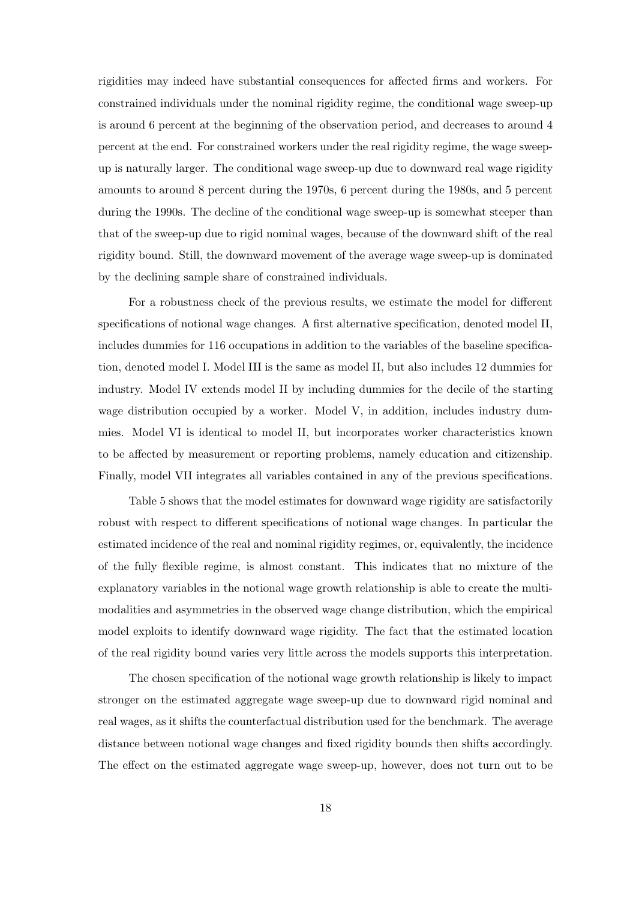rigidities may indeed have substantial consequences for affected firms and workers. For constrained individuals under the nominal rigidity regime, the conditional wage sweep-up is around 6 percent at the beginning of the observation period, and decreases to around 4 percent at the end. For constrained workers under the real rigidity regime, the wage sweepup is naturally larger. The conditional wage sweep-up due to downward real wage rigidity amounts to around 8 percent during the 1970s, 6 percent during the 1980s, and 5 percent during the 1990s. The decline of the conditional wage sweep-up is somewhat steeper than that of the sweep-up due to rigid nominal wages, because of the downward shift of the real rigidity bound. Still, the downward movement of the average wage sweep-up is dominated by the declining sample share of constrained individuals.

For a robustness check of the previous results, we estimate the model for different specifications of notional wage changes. A first alternative specification, denoted model II, includes dummies for 116 occupations in addition to the variables of the baseline specification, denoted model I. Model III is the same as model II, but also includes 12 dummies for industry. Model IV extends model II by including dummies for the decile of the starting wage distribution occupied by a worker. Model V, in addition, includes industry dummies. Model VI is identical to model II, but incorporates worker characteristics known to be affected by measurement or reporting problems, namely education and citizenship. Finally, model VII integrates all variables contained in any of the previous specifications.

Table 5 shows that the model estimates for downward wage rigidity are satisfactorily robust with respect to different specifications of notional wage changes. In particular the estimated incidence of the real and nominal rigidity regimes, or, equivalently, the incidence of the fully flexible regime, is almost constant. This indicates that no mixture of the explanatory variables in the notional wage growth relationship is able to create the multimodalities and asymmetries in the observed wage change distribution, which the empirical model exploits to identify downward wage rigidity. The fact that the estimated location of the real rigidity bound varies very little across the models supports this interpretation.

The chosen specification of the notional wage growth relationship is likely to impact stronger on the estimated aggregate wage sweep-up due to downward rigid nominal and real wages, as it shifts the counterfactual distribution used for the benchmark. The average distance between notional wage changes and fixed rigidity bounds then shifts accordingly. The effect on the estimated aggregate wage sweep-up, however, does not turn out to be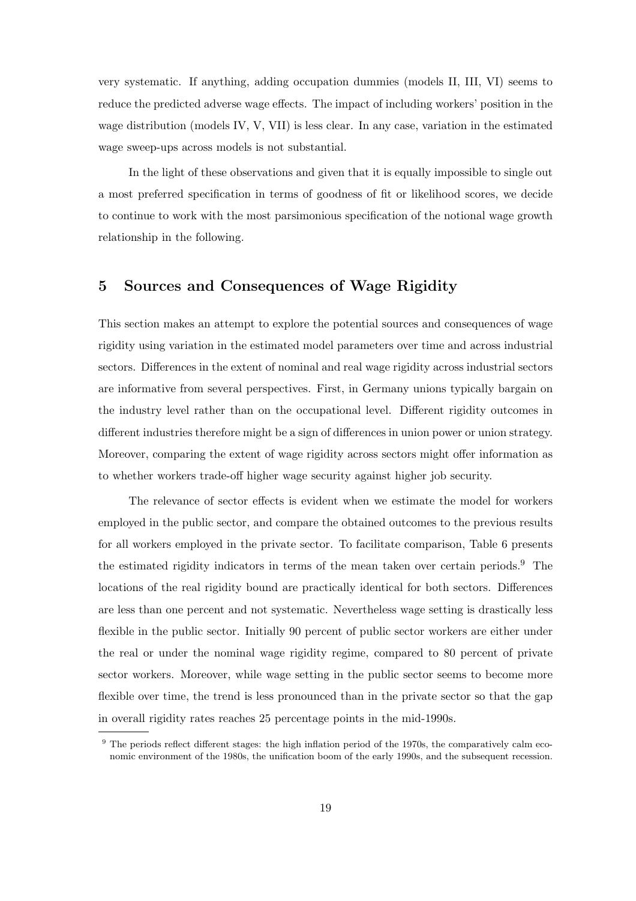very systematic. If anything, adding occupation dummies (models II, III, VI) seems to reduce the predicted adverse wage effects. The impact of including workers' position in the wage distribution (models IV, V, VII) is less clear. In any case, variation in the estimated wage sweep-ups across models is not substantial.

In the light of these observations and given that it is equally impossible to single out a most preferred specification in terms of goodness of fit or likelihood scores, we decide to continue to work with the most parsimonious specification of the notional wage growth relationship in the following.

## 5 Sources and Consequences of Wage Rigidity

This section makes an attempt to explore the potential sources and consequences of wage rigidity using variation in the estimated model parameters over time and across industrial sectors. Differences in the extent of nominal and real wage rigidity across industrial sectors are informative from several perspectives. First, in Germany unions typically bargain on the industry level rather than on the occupational level. Different rigidity outcomes in different industries therefore might be a sign of differences in union power or union strategy. Moreover, comparing the extent of wage rigidity across sectors might offer information as to whether workers trade-off higher wage security against higher job security.

The relevance of sector effects is evident when we estimate the model for workers employed in the public sector, and compare the obtained outcomes to the previous results for all workers employed in the private sector. To facilitate comparison, Table 6 presents the estimated rigidity indicators in terms of the mean taken over certain periods.<sup>9</sup> The locations of the real rigidity bound are practically identical for both sectors. Differences are less than one percent and not systematic. Nevertheless wage setting is drastically less flexible in the public sector. Initially 90 percent of public sector workers are either under the real or under the nominal wage rigidity regime, compared to 80 percent of private sector workers. Moreover, while wage setting in the public sector seems to become more flexible over time, the trend is less pronounced than in the private sector so that the gap in overall rigidity rates reaches 25 percentage points in the mid-1990s.

<sup>&</sup>lt;sup>9</sup> The periods reflect different stages: the high inflation period of the 1970s, the comparatively calm economic environment of the 1980s, the unification boom of the early 1990s, and the subsequent recession.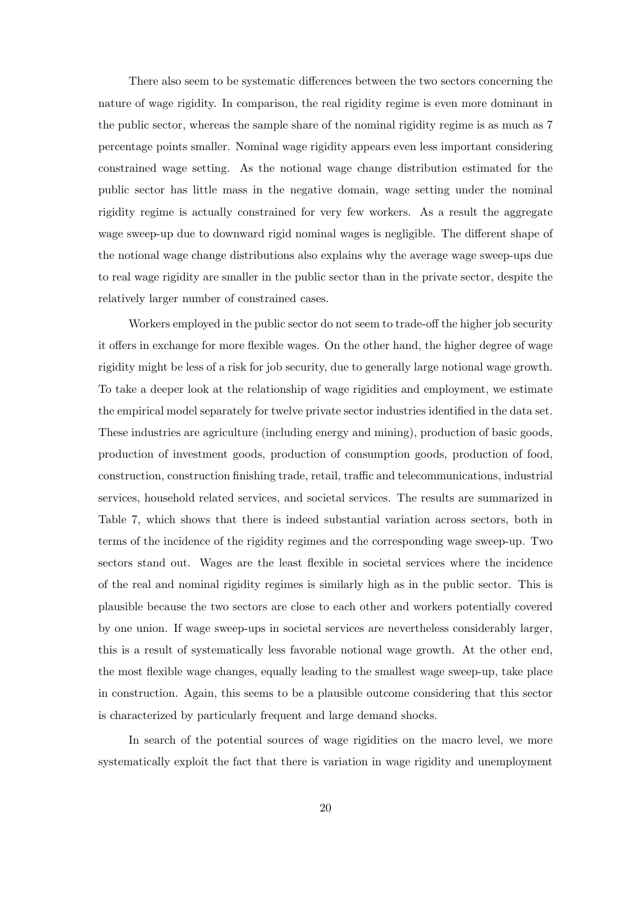There also seem to be systematic differences between the two sectors concerning the nature of wage rigidity. In comparison, the real rigidity regime is even more dominant in the public sector, whereas the sample share of the nominal rigidity regime is as much as 7 percentage points smaller. Nominal wage rigidity appears even less important considering constrained wage setting. As the notional wage change distribution estimated for the public sector has little mass in the negative domain, wage setting under the nominal rigidity regime is actually constrained for very few workers. As a result the aggregate wage sweep-up due to downward rigid nominal wages is negligible. The different shape of the notional wage change distributions also explains why the average wage sweep-ups due to real wage rigidity are smaller in the public sector than in the private sector, despite the relatively larger number of constrained cases.

Workers employed in the public sector do not seem to trade-off the higher job security it offers in exchange for more flexible wages. On the other hand, the higher degree of wage rigidity might be less of a risk for job security, due to generally large notional wage growth. To take a deeper look at the relationship of wage rigidities and employment, we estimate the empirical model separately for twelve private sector industries identified in the data set. These industries are agriculture (including energy and mining), production of basic goods, production of investment goods, production of consumption goods, production of food, construction, construction finishing trade, retail, traffic and telecommunications, industrial services, household related services, and societal services. The results are summarized in Table 7, which shows that there is indeed substantial variation across sectors, both in terms of the incidence of the rigidity regimes and the corresponding wage sweep-up. Two sectors stand out. Wages are the least flexible in societal services where the incidence of the real and nominal rigidity regimes is similarly high as in the public sector. This is plausible because the two sectors are close to each other and workers potentially covered by one union. If wage sweep-ups in societal services are nevertheless considerably larger, this is a result of systematically less favorable notional wage growth. At the other end, the most flexible wage changes, equally leading to the smallest wage sweep-up, take place in construction. Again, this seems to be a plausible outcome considering that this sector is characterized by particularly frequent and large demand shocks.

In search of the potential sources of wage rigidities on the macro level, we more systematically exploit the fact that there is variation in wage rigidity and unemployment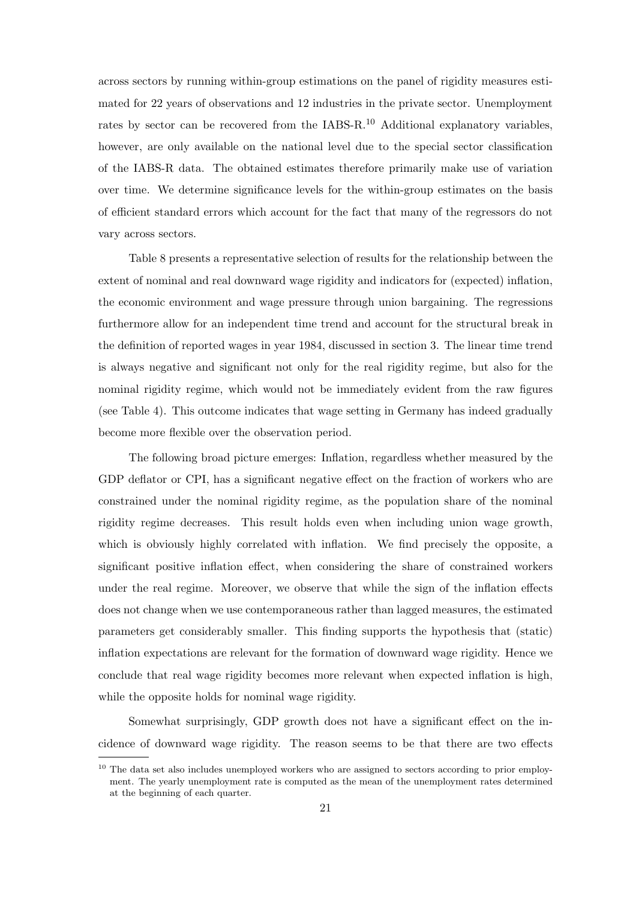across sectors by running within-group estimations on the panel of rigidity measures estimated for 22 years of observations and 12 industries in the private sector. Unemployment rates by sector can be recovered from the IABS-R.<sup>10</sup> Additional explanatory variables, however, are only available on the national level due to the special sector classification of the IABS-R data. The obtained estimates therefore primarily make use of variation over time. We determine significance levels for the within-group estimates on the basis of efficient standard errors which account for the fact that many of the regressors do not vary across sectors.

Table 8 presents a representative selection of results for the relationship between the extent of nominal and real downward wage rigidity and indicators for (expected) inflation, the economic environment and wage pressure through union bargaining. The regressions furthermore allow for an independent time trend and account for the structural break in the definition of reported wages in year 1984, discussed in section 3. The linear time trend is always negative and significant not only for the real rigidity regime, but also for the nominal rigidity regime, which would not be immediately evident from the raw figures (see Table 4). This outcome indicates that wage setting in Germany has indeed gradually become more flexible over the observation period.

The following broad picture emerges: Inflation, regardless whether measured by the GDP deflator or CPI, has a significant negative effect on the fraction of workers who are constrained under the nominal rigidity regime, as the population share of the nominal rigidity regime decreases. This result holds even when including union wage growth, which is obviously highly correlated with inflation. We find precisely the opposite, a significant positive inflation effect, when considering the share of constrained workers under the real regime. Moreover, we observe that while the sign of the inflation effects does not change when we use contemporaneous rather than lagged measures, the estimated parameters get considerably smaller. This finding supports the hypothesis that (static) inflation expectations are relevant for the formation of downward wage rigidity. Hence we conclude that real wage rigidity becomes more relevant when expected inflation is high, while the opposite holds for nominal wage rigidity.

Somewhat surprisingly, GDP growth does not have a significant effect on the incidence of downward wage rigidity. The reason seems to be that there are two effects

 $10$  The data set also includes unemployed workers who are assigned to sectors according to prior employment. The yearly unemployment rate is computed as the mean of the unemployment rates determined at the beginning of each quarter.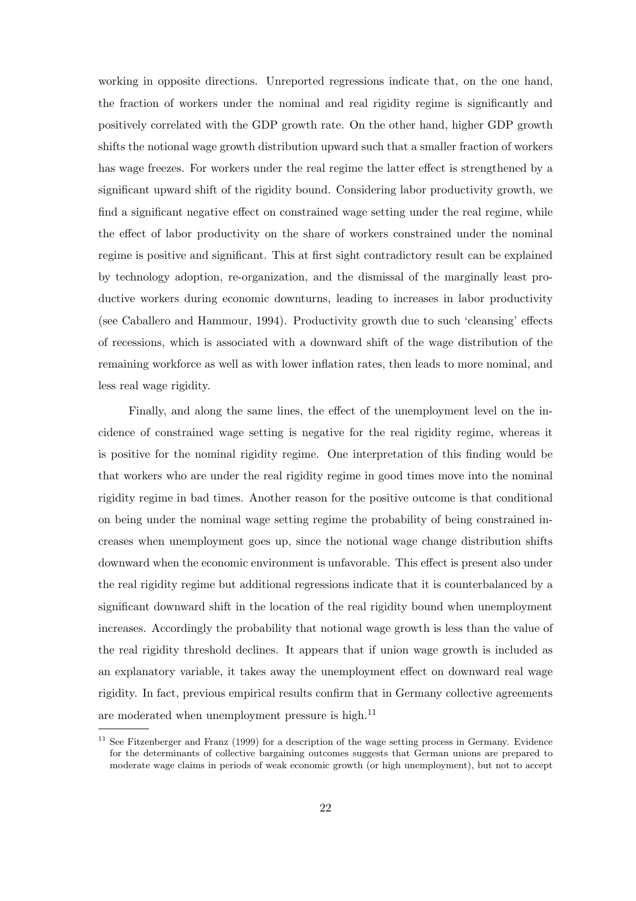working in opposite directions. Unreported regressions indicate that, on the one hand, the fraction of workers under the nominal and real rigidity regime is significantly and positively correlated with the GDP growth rate. On the other hand, higher GDP growth shifts the notional wage growth distribution upward such that a smaller fraction of workers has wage freezes. For workers under the real regime the latter effect is strengthened by a significant upward shift of the rigidity bound. Considering labor productivity growth, we find a significant negative effect on constrained wage setting under the real regime, while the effect of labor productivity on the share of workers constrained under the nominal regime is positive and significant. This at first sight contradictory result can be explained by technology adoption, re-organization, and the dismissal of the marginally least productive workers during economic downturns, leading to increases in labor productivity (see Caballero and Hammour, 1994). Productivity growth due to such 'cleansing' effects of recessions, which is associated with a downward shift of the wage distribution of the remaining workforce as well as with lower inflation rates, then leads to more nominal, and less real wage rigidity.

Finally, and along the same lines, the effect of the unemployment level on the incidence of constrained wage setting is negative for the real rigidity regime, whereas it is positive for the nominal rigidity regime. One interpretation of this finding would be that workers who are under the real rigidity regime in good times move into the nominal rigidity regime in bad times. Another reason for the positive outcome is that conditional on being under the nominal wage setting regime the probability of being constrained increases when unemployment goes up, since the notional wage change distribution shifts downward when the economic environment is unfavorable. This effect is present also under the real rigidity regime but additional regressions indicate that it is counterbalanced by a significant downward shift in the location of the real rigidity bound when unemployment increases. Accordingly the probability that notional wage growth is less than the value of the real rigidity threshold declines. It appears that if union wage growth is included as an explanatory variable, it takes away the unemployment effect on downward real wage rigidity. In fact, previous empirical results confirm that in Germany collective agreements are moderated when unemployment pressure is high. $^{11}$ 

<sup>&</sup>lt;sup>11</sup> See Fitzenberger and Franz (1999) for a description of the wage setting process in Germany. Evidence for the determinants of collective bargaining outcomes suggests that German unions are prepared to moderate wage claims in periods of weak economic growth (or high unemployment), but not to accept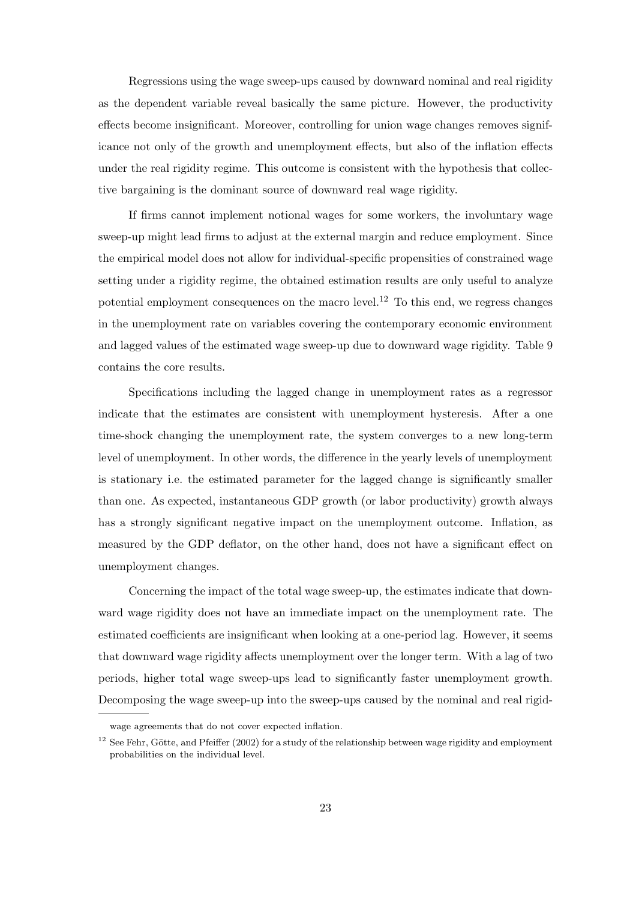Regressions using the wage sweep-ups caused by downward nominal and real rigidity as the dependent variable reveal basically the same picture. However, the productivity effects become insignificant. Moreover, controlling for union wage changes removes significance not only of the growth and unemployment effects, but also of the inflation effects under the real rigidity regime. This outcome is consistent with the hypothesis that collective bargaining is the dominant source of downward real wage rigidity.

If firms cannot implement notional wages for some workers, the involuntary wage sweep-up might lead firms to adjust at the external margin and reduce employment. Since the empirical model does not allow for individual-specific propensities of constrained wage setting under a rigidity regime, the obtained estimation results are only useful to analyze potential employment consequences on the macro level.<sup>12</sup> To this end, we regress changes in the unemployment rate on variables covering the contemporary economic environment and lagged values of the estimated wage sweep-up due to downward wage rigidity. Table 9 contains the core results.

Specifications including the lagged change in unemployment rates as a regressor indicate that the estimates are consistent with unemployment hysteresis. After a one time-shock changing the unemployment rate, the system converges to a new long-term level of unemployment. In other words, the difference in the yearly levels of unemployment is stationary i.e. the estimated parameter for the lagged change is significantly smaller than one. As expected, instantaneous GDP growth (or labor productivity) growth always has a strongly significant negative impact on the unemployment outcome. Inflation, as measured by the GDP deflator, on the other hand, does not have a significant effect on unemployment changes.

Concerning the impact of the total wage sweep-up, the estimates indicate that downward wage rigidity does not have an immediate impact on the unemployment rate. The estimated coefficients are insignificant when looking at a one-period lag. However, it seems that downward wage rigidity affects unemployment over the longer term. With a lag of two periods, higher total wage sweep-ups lead to significantly faster unemployment growth. Decomposing the wage sweep-up into the sweep-ups caused by the nominal and real rigid-

wage agreements that do not cover expected inflation.

<sup>&</sup>lt;sup>12</sup> See Fehr, Götte, and Pfeiffer (2002) for a study of the relationship between wage rigidity and employment probabilities on the individual level.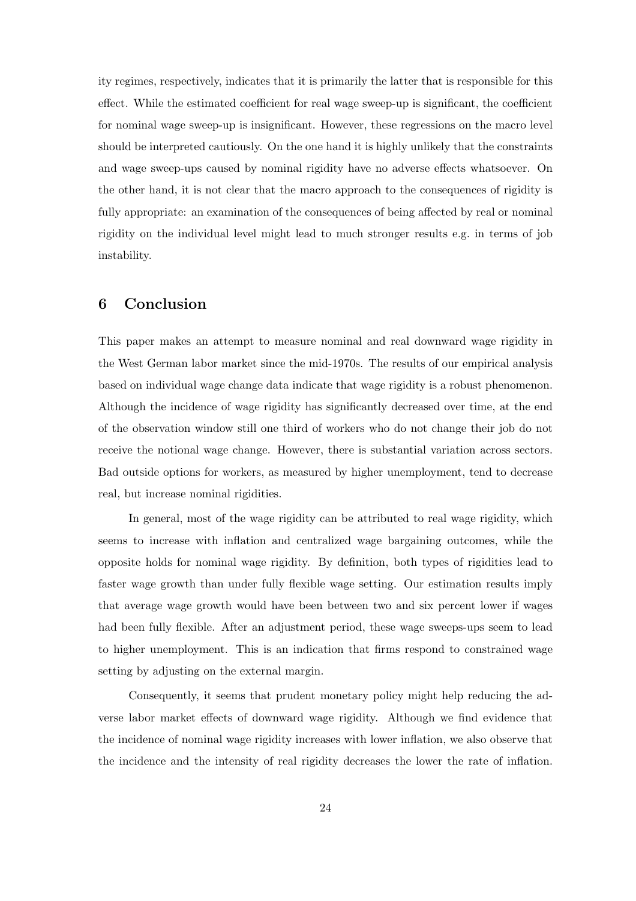ity regimes, respectively, indicates that it is primarily the latter that is responsible for this effect. While the estimated coefficient for real wage sweep-up is significant, the coefficient for nominal wage sweep-up is insignificant. However, these regressions on the macro level should be interpreted cautiously. On the one hand it is highly unlikely that the constraints and wage sweep-ups caused by nominal rigidity have no adverse effects whatsoever. On the other hand, it is not clear that the macro approach to the consequences of rigidity is fully appropriate: an examination of the consequences of being affected by real or nominal rigidity on the individual level might lead to much stronger results e.g. in terms of job instability.

### 6 Conclusion

This paper makes an attempt to measure nominal and real downward wage rigidity in the West German labor market since the mid-1970s. The results of our empirical analysis based on individual wage change data indicate that wage rigidity is a robust phenomenon. Although the incidence of wage rigidity has significantly decreased over time, at the end of the observation window still one third of workers who do not change their job do not receive the notional wage change. However, there is substantial variation across sectors. Bad outside options for workers, as measured by higher unemployment, tend to decrease real, but increase nominal rigidities.

In general, most of the wage rigidity can be attributed to real wage rigidity, which seems to increase with inflation and centralized wage bargaining outcomes, while the opposite holds for nominal wage rigidity. By definition, both types of rigidities lead to faster wage growth than under fully flexible wage setting. Our estimation results imply that average wage growth would have been between two and six percent lower if wages had been fully flexible. After an adjustment period, these wage sweeps-ups seem to lead to higher unemployment. This is an indication that firms respond to constrained wage setting by adjusting on the external margin.

Consequently, it seems that prudent monetary policy might help reducing the adverse labor market effects of downward wage rigidity. Although we find evidence that the incidence of nominal wage rigidity increases with lower inflation, we also observe that the incidence and the intensity of real rigidity decreases the lower the rate of inflation.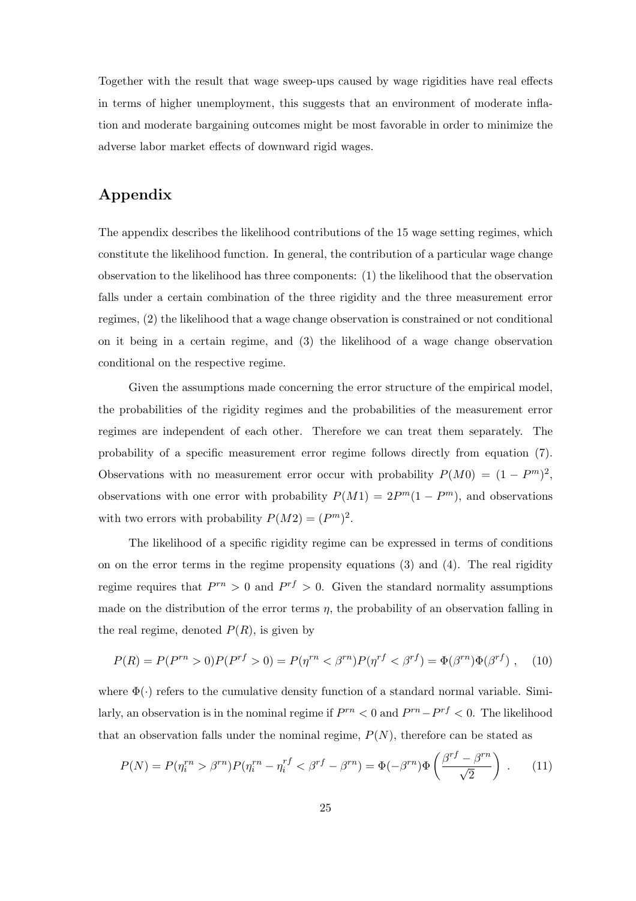Together with the result that wage sweep-ups caused by wage rigidities have real effects in terms of higher unemployment, this suggests that an environment of moderate inflation and moderate bargaining outcomes might be most favorable in order to minimize the adverse labor market effects of downward rigid wages.

## Appendix

The appendix describes the likelihood contributions of the 15 wage setting regimes, which constitute the likelihood function. In general, the contribution of a particular wage change observation to the likelihood has three components: (1) the likelihood that the observation falls under a certain combination of the three rigidity and the three measurement error regimes, (2) the likelihood that a wage change observation is constrained or not conditional on it being in a certain regime, and (3) the likelihood of a wage change observation conditional on the respective regime.

Given the assumptions made concerning the error structure of the empirical model, the probabilities of the rigidity regimes and the probabilities of the measurement error regimes are independent of each other. Therefore we can treat them separately. The probability of a specific measurement error regime follows directly from equation (7). Observations with no measurement error occur with probability  $P(M0) = (1 - P<sup>m</sup>)<sup>2</sup>$ , observations with one error with probability  $P(M1) = 2P<sup>m</sup>(1 - P<sup>m</sup>)$ , and observations with two errors with probability  $P(M2) = (P<sup>m</sup>)<sup>2</sup>$ .

The likelihood of a specific rigidity regime can be expressed in terms of conditions on on the error terms in the regime propensity equations (3) and (4). The real rigidity regime requires that  $P^{rn} > 0$  and  $P^{rf} > 0$ . Given the standard normality assumptions made on the distribution of the error terms  $\eta$ , the probability of an observation falling in the real regime, denoted  $P(R)$ , is given by

$$
P(R) = P(P^{rn} > 0)P(P^{rf} > 0) = P(\eta^{rn} < \beta^{rn})P(\eta^{rf} < \beta^{rf}) = \Phi(\beta^{rn})\Phi(\beta^{rf}), \quad (10)
$$

where  $\Phi(\cdot)$  refers to the cumulative density function of a standard normal variable. Similarly, an observation is in the nominal regime if  $P^{rn} < 0$  and  $P^{rn} - P^{rf} < 0$ . The likelihood that an observation falls under the nominal regime,  $P(N)$ , therefore can be stated as

$$
P(N) = P(\eta_i^{rn} > \beta^{rn}) P(\eta_i^{rn} - \eta_i^{rf} < \beta^{rf} - \beta^{rn}) = \Phi(-\beta^{rn}) \Phi\left(\frac{\beta^{rf} - \beta^{rn}}{\sqrt{2}}\right) . \tag{11}
$$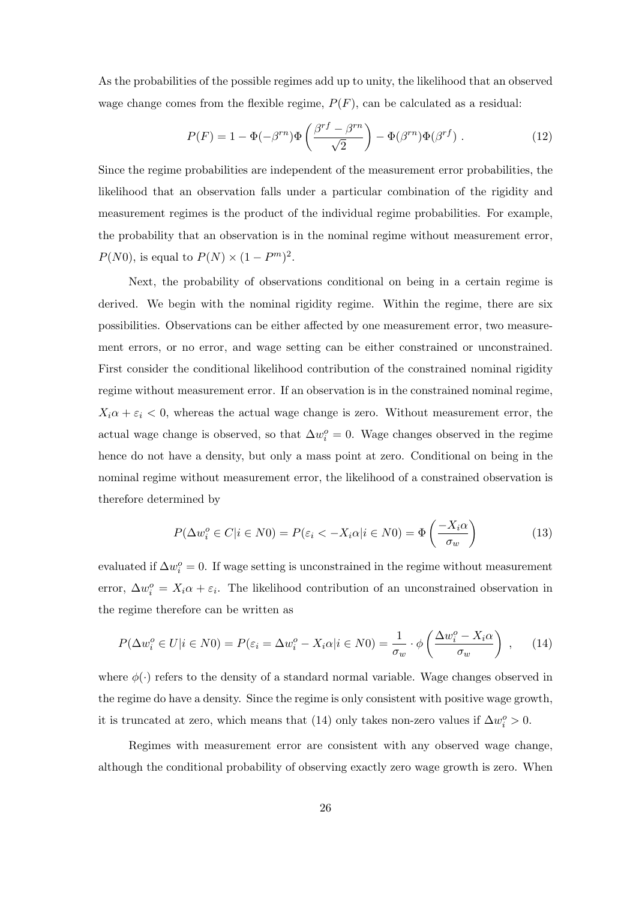As the probabilities of the possible regimes add up to unity, the likelihood that an observed wage change comes from the flexible regime,  $P(F)$ , can be calculated as a residual:

$$
P(F) = 1 - \Phi(-\beta^{rn})\Phi\left(\frac{\beta^{rf} - \beta^{rn}}{\sqrt{2}}\right) - \Phi(\beta^{rn})\Phi(\beta^{rf}) . \tag{12}
$$

Since the regime probabilities are independent of the measurement error probabilities, the likelihood that an observation falls under a particular combination of the rigidity and measurement regimes is the product of the individual regime probabilities. For example, the probability that an observation is in the nominal regime without measurement error,  $P(N0)$ , is equal to  $P(N) \times (1 - P<sup>m</sup>)<sup>2</sup>$ .

Next, the probability of observations conditional on being in a certain regime is derived. We begin with the nominal rigidity regime. Within the regime, there are six possibilities. Observations can be either affected by one measurement error, two measurement errors, or no error, and wage setting can be either constrained or unconstrained. First consider the conditional likelihood contribution of the constrained nominal rigidity regime without measurement error. If an observation is in the constrained nominal regime,  $X_i\alpha + \varepsilon_i < 0$ , whereas the actual wage change is zero. Without measurement error, the actual wage change is observed, so that  $\Delta w_i^o = 0$ . Wage changes observed in the regime hence do not have a density, but only a mass point at zero. Conditional on being in the nominal regime without measurement error, the likelihood of a constrained observation is therefore determined by

$$
P(\Delta w_i^o \in C | i \in N0) = P(\varepsilon_i < -X_i \alpha | i \in N0) = \Phi\left(\frac{-X_i \alpha}{\sigma_w}\right)
$$
(13)

evaluated if  $\Delta w_i^o = 0$ . If wage setting is unconstrained in the regime without measurement error,  $\Delta w_i^o = X_i \alpha + \varepsilon_i$ . The likelihood contribution of an unconstrained observation in the regime therefore can be written as

$$
P(\Delta w_i^o \in U | i \in N0) = P(\varepsilon_i = \Delta w_i^o - X_i \alpha | i \in N0) = \frac{1}{\sigma_w} \cdot \phi \left(\frac{\Delta w_i^o - X_i \alpha}{\sigma_w}\right) , \quad (14)
$$

where  $\phi(\cdot)$  refers to the density of a standard normal variable. Wage changes observed in the regime do have a density. Since the regime is only consistent with positive wage growth, it is truncated at zero, which means that (14) only takes non-zero values if  $\Delta w_i^o > 0$ .

Regimes with measurement error are consistent with any observed wage change, although the conditional probability of observing exactly zero wage growth is zero. When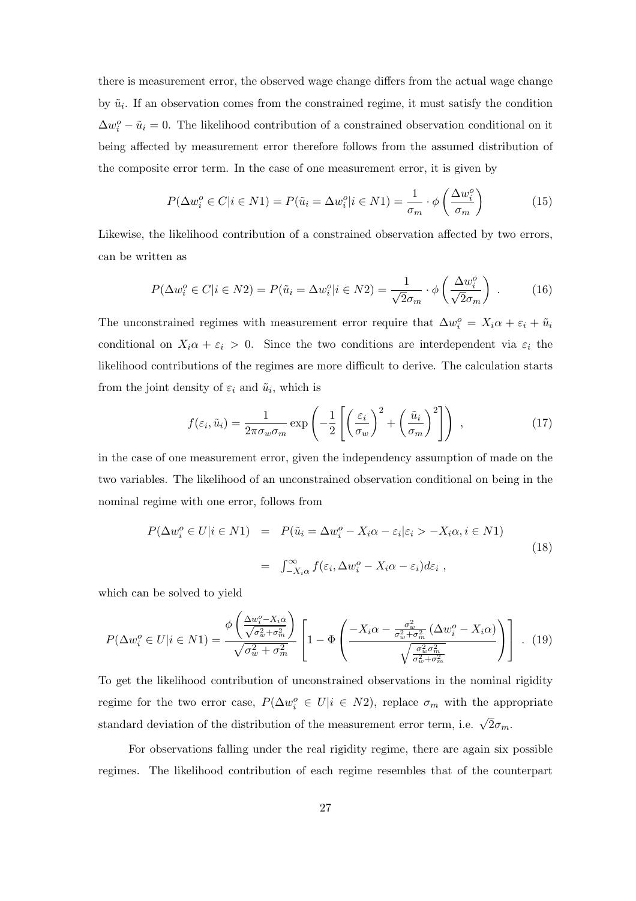there is measurement error, the observed wage change differs from the actual wage change by  $\tilde{u}_i$ . If an observation comes from the constrained regime, it must satisfy the condition  $\Delta w_i^o - \tilde{u}_i = 0$ . The likelihood contribution of a constrained observation conditional on it being affected by measurement error therefore follows from the assumed distribution of the composite error term. In the case of one measurement error, it is given by

$$
P(\Delta w_i^o \in C | i \in N1) = P(\tilde{u}_i = \Delta w_i^o | i \in N1) = \frac{1}{\sigma_m} \cdot \phi\left(\frac{\Delta w_i^o}{\sigma_m}\right)
$$
(15)

Likewise, the likelihood contribution of a constrained observation affected by two errors, can be written as

$$
P(\Delta w_i^o \in C | i \in N2) = P(\tilde{u}_i = \Delta w_i^o | i \in N2) = \frac{1}{\sqrt{2}\sigma_m} \cdot \phi\left(\frac{\Delta w_i^o}{\sqrt{2}\sigma_m}\right) \tag{16}
$$

The unconstrained regimes with measurement error require that  $\Delta w_i^o = X_i \alpha + \varepsilon_i + \tilde{u}_i$ conditional on  $X_i \alpha + \varepsilon_i > 0$ . Since the two conditions are interdependent via  $\varepsilon_i$  the likelihood contributions of the regimes are more difficult to derive. The calculation starts from the joint density of  $\varepsilon_i$  and  $\tilde{u}_i$ , which is

$$
f(\varepsilon_i, \tilde{u}_i) = \frac{1}{2\pi\sigma_w \sigma_m} \exp\left(-\frac{1}{2}\left[\left(\frac{\varepsilon_i}{\sigma_w}\right)^2 + \left(\frac{\tilde{u}_i}{\sigma_m}\right)^2\right]\right) \,,\tag{17}
$$

in the case of one measurement error, given the independency assumption of made on the two variables. The likelihood of an unconstrained observation conditional on being in the nominal regime with one error, follows from

$$
P(\Delta w_i^o \in U | i \in N1) = P(\tilde{u}_i = \Delta w_i^o - X_i \alpha - \varepsilon_i | \varepsilon_i > -X_i \alpha, i \in N1)
$$
  

$$
= \int_{-X_i \alpha}^{\infty} f(\varepsilon_i, \Delta w_i^o - X_i \alpha - \varepsilon_i) d\varepsilon_i , \qquad (18)
$$

which can be solved to yield

$$
P(\Delta w_i^o \in U | i \in N1) = \frac{\phi\left(\frac{\Delta w_i^o - X_i \alpha}{\sqrt{\sigma_w^2 + \sigma_m^2}}\right)}{\sqrt{\sigma_w^2 + \sigma_m^2}} \left[1 - \Phi\left(\frac{-X_i \alpha - \frac{\sigma_w^2}{\sigma_w^2 + \sigma_m^2} (\Delta w_i^o - X_i \alpha)}{\sqrt{\frac{\sigma_w^2 \sigma_m^2}{\sigma_w^2 + \sigma_m^2}}}\right)\right].
$$
 (19)

To get the likelihood contribution of unconstrained observations in the nominal rigidity regime for the two error case,  $P(\Delta w_i^o \in U | i \in N2)$ , replace  $\sigma_m$  with the appropriate standard deviation of the distribution of the measurement error term, i.e.  $\sqrt{2}\sigma_m$ .

For observations falling under the real rigidity regime, there are again six possible regimes. The likelihood contribution of each regime resembles that of the counterpart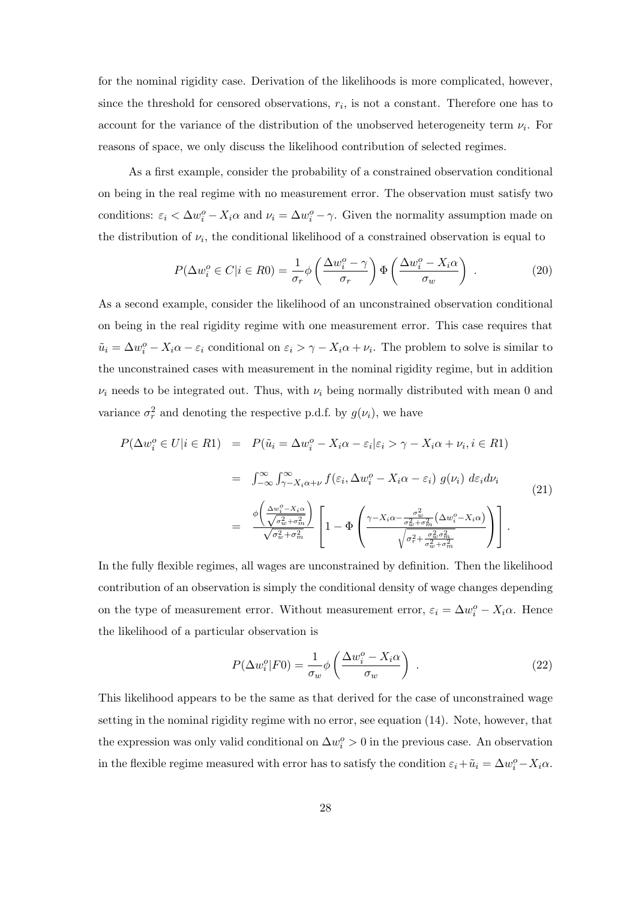for the nominal rigidity case. Derivation of the likelihoods is more complicated, however, since the threshold for censored observations,  $r_i$ , is not a constant. Therefore one has to account for the variance of the distribution of the unobserved heterogeneity term  $\nu_i$ . For reasons of space, we only discuss the likelihood contribution of selected regimes.

As a first example, consider the probability of a constrained observation conditional on being in the real regime with no measurement error. The observation must satisfy two conditions:  $\varepsilon_i < \Delta w_i^o - X_i \alpha$  and  $\nu_i = \Delta w_i^o - \gamma$ . Given the normality assumption made on the distribution of  $\nu_i$ , the conditional likelihood of a constrained observation is equal to

$$
P(\Delta w_i^o \in C | i \in R0) = \frac{1}{\sigma_r} \phi \left( \frac{\Delta w_i^o - \gamma}{\sigma_r} \right) \Phi \left( \frac{\Delta w_i^o - X_i \alpha}{\sigma_w} \right) . \tag{20}
$$

As a second example, consider the likelihood of an unconstrained observation conditional on being in the real rigidity regime with one measurement error. This case requires that  $\tilde{u}_i = \Delta w_i^o - X_i \alpha - \varepsilon_i$  conditional on  $\varepsilon_i > \gamma - X_i \alpha + \nu_i$ . The problem to solve is similar to the unconstrained cases with measurement in the nominal rigidity regime, but in addition  $\nu_i$  needs to be integrated out. Thus, with  $\nu_i$  being normally distributed with mean 0 and variance  $\sigma_r^2$  and denoting the respective p.d.f. by  $g(\nu_i)$ , we have

$$
P(\Delta w_i^o \in U | i \in R1) = P(\tilde{u}_i = \Delta w_i^o - X_i \alpha - \varepsilon_i | \varepsilon_i > \gamma - X_i \alpha + \nu_i, i \in R1)
$$
  

$$
= \int_{-\infty}^{\infty} \int_{\gamma - X_i \alpha + \nu}^{\infty} f(\varepsilon_i, \Delta w_i^o - X_i \alpha - \varepsilon_i) g(\nu_i) d\varepsilon_i d\nu_i
$$
  

$$
= \frac{\phi\left(\frac{\Delta w_i^o - X_i \alpha}{\sqrt{\sigma_w^2 + \sigma_m^2}}\right)}{\sqrt{\sigma_w^2 + \sigma_m^2}} \left[1 - \Phi\left(\frac{\gamma - X_i \alpha - \frac{\sigma_w^2}{\sigma_w^2 + \sigma_m^2}(\Delta w_i^o - X_i \alpha)}{\sqrt{\sigma_r^2 + \frac{\sigma_w^2}{\sigma_w^2 + \sigma_m^2}}}\right)\right].
$$
  
(21)

In the fully flexible regimes, all wages are unconstrained by definition. Then the likelihood contribution of an observation is simply the conditional density of wage changes depending on the type of measurement error. Without measurement error,  $\varepsilon_i = \Delta w_i^o - X_i \alpha$ . Hence the likelihood of a particular observation is

$$
P(\Delta w_i^o|F0) = \frac{1}{\sigma_w} \phi \left( \frac{\Delta w_i^o - X_i \alpha}{\sigma_w} \right) \tag{22}
$$

This likelihood appears to be the same as that derived for the case of unconstrained wage setting in the nominal rigidity regime with no error, see equation (14). Note, however, that the expression was only valid conditional on  $\Delta w_i^o > 0$  in the previous case. An observation in the flexible regime measured with error has to satisfy the condition  $\varepsilon_i + \tilde{u}_i = \Delta w_i^o - X_i \alpha$ .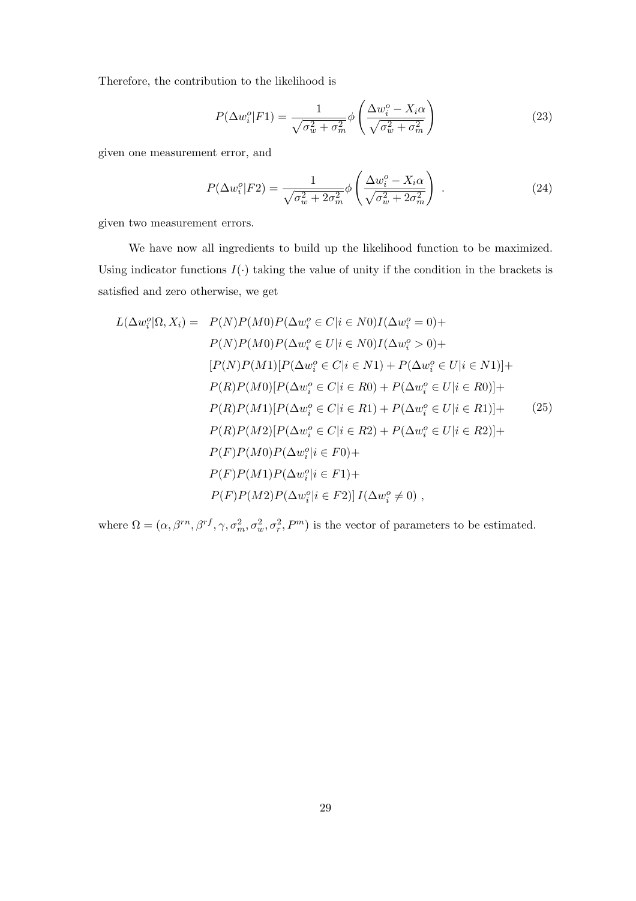Therefore, the contribution to the likelihood is

$$
P(\Delta w_i^o|F1) = \frac{1}{\sqrt{\sigma_w^2 + \sigma_m^2}} \phi \left(\frac{\Delta w_i^o - X_i \alpha}{\sqrt{\sigma_w^2 + \sigma_m^2}}\right)
$$
(23)

given one measurement error, and

$$
P(\Delta w_i^o|F2) = \frac{1}{\sqrt{\sigma_w^2 + 2\sigma_m^2}} \phi \left(\frac{\Delta w_i^o - X_i \alpha}{\sqrt{\sigma_w^2 + 2\sigma_m^2}}\right) \tag{24}
$$

given two measurement errors.

We have now all ingredients to build up the likelihood function to be maximized. Using indicator functions  $I(\cdot)$  taking the value of unity if the condition in the brackets is satisfied and zero otherwise, we get

$$
L(\Delta w_i^o|\Omega, X_i) = P(N)P(M0)P(\Delta w_i^o \in C|i \in N0)I(\Delta w_i^o = 0) +
$$
  
\n
$$
P(N)P(M0)P(\Delta w_i^o \in U|i \in N0)I(\Delta w_i^o > 0) +
$$
  
\n
$$
[P(N)P(M1)[P(\Delta w_i^o \in C|i \in N1) + P(\Delta w_i^o \in U|i \in N1)] +
$$
  
\n
$$
P(R)P(M0)[P(\Delta w_i^o \in C|i \in R0) + P(\Delta w_i^o \in U|i \in R0)] +
$$
  
\n
$$
P(R)P(M1)[P(\Delta w_i^o \in C|i \in R1) + P(\Delta w_i^o \in U|i \in R1)] +
$$
  
\n
$$
P(R)P(M2)[P(\Delta w_i^o \in C|i \in R2) + P(\Delta w_i^o \in U|i \in R2)] +
$$
  
\n
$$
P(F)P(M0)P(\Delta w_i^o|i \in F0) +
$$
  
\n
$$
P(F)P(M1)P(\Delta w_i^o|i \in F1) +
$$
  
\n
$$
P(F)P(M2)P(\Delta w_i^o|i \in F2)]I(\Delta w_i^o \neq 0),
$$

where  $\Omega = (\alpha, \beta^{rn}, \beta^{rf}, \gamma, \sigma_m^2, \sigma_w^2, \sigma_r^2, P^m)$  is the vector of parameters to be estimated.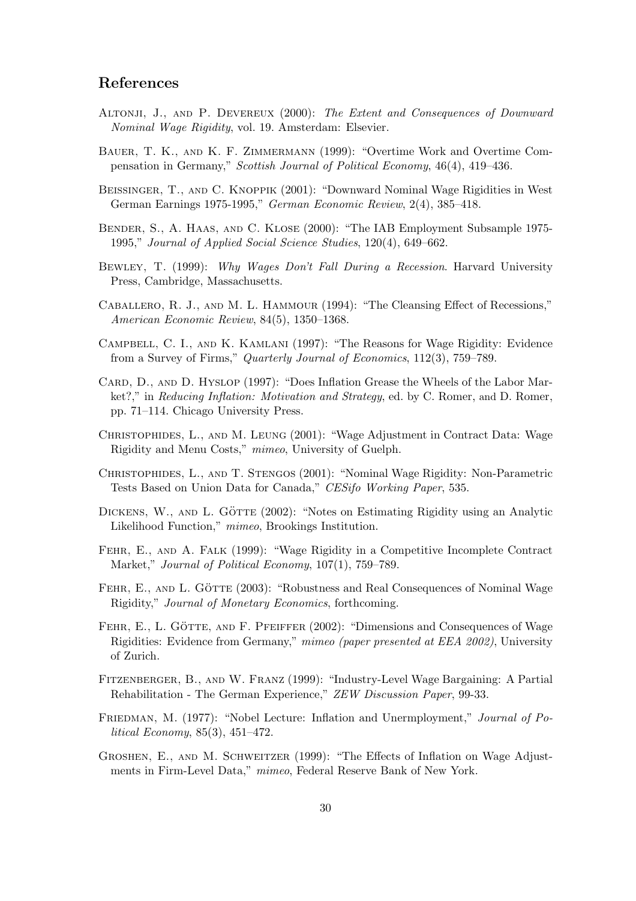### References

- ALTONJI, J., AND P. DEVEREUX (2000): The Extent and Consequences of Downward Nominal Wage Rigidity, vol. 19. Amsterdam: Elsevier.
- Bauer, T. K., and K. F. Zimmermann (1999): "Overtime Work and Overtime Compensation in Germany," Scottish Journal of Political Economy, 46(4), 419–436.
- Beissinger, T., and C. Knoppik (2001): "Downward Nominal Wage Rigidities in West German Earnings 1975-1995," German Economic Review, 2(4), 385–418.
- Bender, S., A. Haas, and C. Klose (2000): "The IAB Employment Subsample 1975- 1995," Journal of Applied Social Science Studies, 120(4), 649–662.
- Bewley, T. (1999): Why Wages Don't Fall During a Recession. Harvard University Press, Cambridge, Massachusetts.
- Caballero, R. J., and M. L. Hammour (1994): "The Cleansing Effect of Recessions," American Economic Review, 84(5), 1350–1368.
- Campbell, C. I., and K. Kamlani (1997): "The Reasons for Wage Rigidity: Evidence from a Survey of Firms," Quarterly Journal of Economics, 112(3), 759–789.
- CARD, D., AND D. HYSLOP (1997): "Does Inflation Grease the Wheels of the Labor Market?," in Reducing Inflation: Motivation and Strategy, ed. by C. Romer, and D. Romer, pp. 71–114. Chicago University Press.
- Christophides, L., and M. Leung (2001): "Wage Adjustment in Contract Data: Wage Rigidity and Menu Costs," mimeo, University of Guelph.
- Christophides, L., and T. Stengos (2001): "Nominal Wage Rigidity: Non-Parametric Tests Based on Union Data for Canada," CESifo Working Paper, 535.
- DICKENS, W., AND L. GÖTTE (2002): "Notes on Estimating Rigidity using an Analytic Likelihood Function," mimeo, Brookings Institution.
- FEHR, E., AND A. FALK (1999): "Wage Rigidity in a Competitive Incomplete Contract Market," *Journal of Political Economy*, 107(1), 759–789.
- FEHR, E., AND L. GÖTTE (2003): "Robustness and Real Consequences of Nominal Wage Rigidity," Journal of Monetary Economics, forthcoming.
- FEHR, E., L. GÖTTE, AND F. PFEIFFER (2002): "Dimensions and Consequences of Wage Rigidities: Evidence from Germany," mimeo (paper presented at EEA 2002), University of Zurich.
- Fitzenberger, B., and W. Franz (1999): "Industry-Level Wage Bargaining: A Partial Rehabilitation - The German Experience," ZEW Discussion Paper, 99-33.
- FRIEDMAN, M. (1977): "Nobel Lecture: Inflation and Unermployment," Journal of Political Economy, 85(3), 451–472.
- Groshen, E., and M. Schweitzer (1999): "The Effects of Inflation on Wage Adjustments in Firm-Level Data," mimeo, Federal Reserve Bank of New York.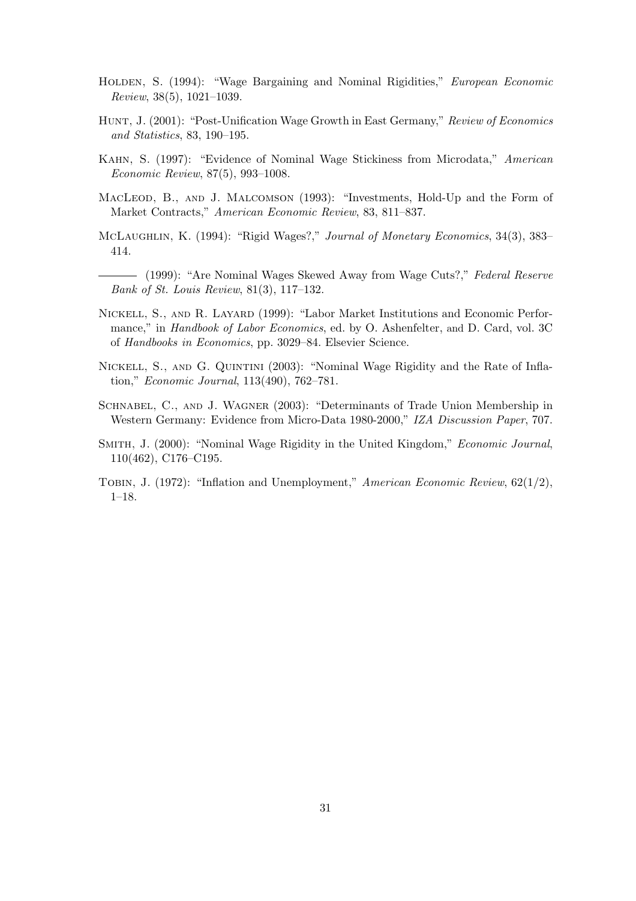- HOLDEN, S. (1994): "Wage Bargaining and Nominal Rigidities," European Economic Review, 38(5), 1021–1039.
- HUNT, J. (2001): "Post-Unification Wage Growth in East Germany," Review of Economics and Statistics, 83, 190–195.
- Kahn, S. (1997): "Evidence of Nominal Wage Stickiness from Microdata," American Economic Review, 87(5), 993–1008.
- MACLEOD, B., AND J. MALCOMSON (1993): "Investments, Hold-Up and the Form of Market Contracts," American Economic Review, 83, 811–837.
- McLaughlin, K. (1994): "Rigid Wages?," Journal of Monetary Economics, 34(3), 383– 414.
- (1999): "Are Nominal Wages Skewed Away from Wage Cuts?," Federal Reserve Bank of St. Louis Review, 81(3), 117–132.
- Nickell, S., and R. Layard (1999): "Labor Market Institutions and Economic Performance," in Handbook of Labor Economics, ed. by O. Ashenfelter, and D. Card, vol. 3C of Handbooks in Economics, pp. 3029–84. Elsevier Science.
- NICKELL, S., AND G. QUINTINI (2003): "Nominal Wage Rigidity and the Rate of Inflation," Economic Journal, 113(490), 762–781.
- Schnabel, C., and J. Wagner (2003): "Determinants of Trade Union Membership in Western Germany: Evidence from Micro-Data 1980-2000," IZA Discussion Paper, 707.
- Smith, J. (2000): "Nominal Wage Rigidity in the United Kingdom," Economic Journal, 110(462), C176–C195.
- TOBIN, J. (1972): "Inflation and Unemployment," American Economic Review,  $62(1/2)$ , 1–18.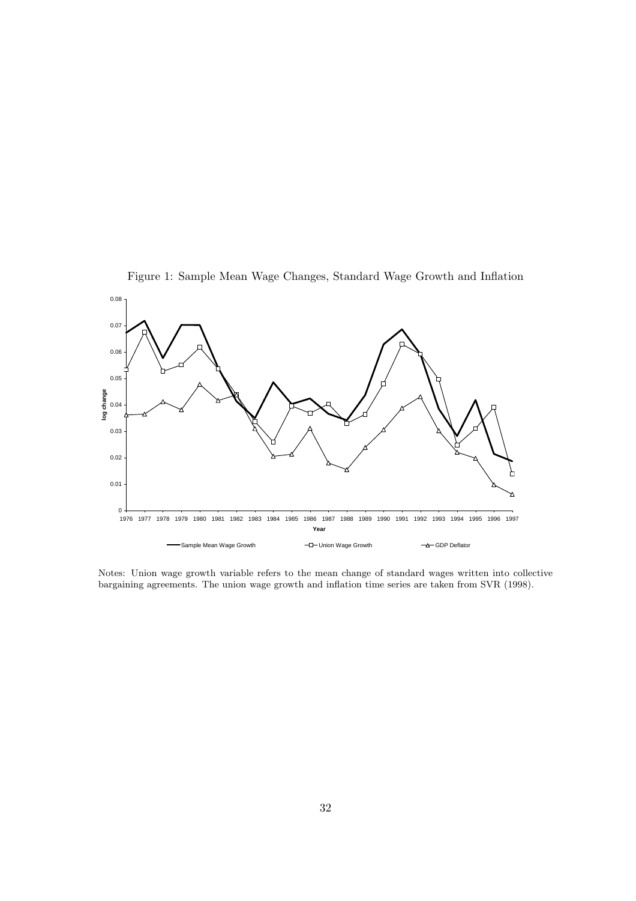



Notes: Union wage growth variable refers to the mean change of standard wages written into collective bargaining agreements. The union wage growth and inflation time series are taken from SVR (1998).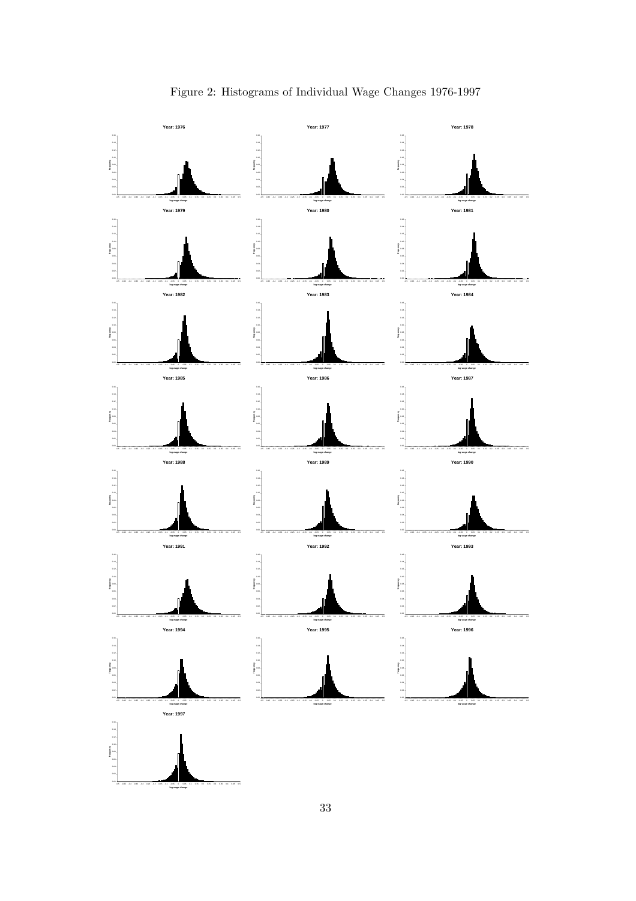

Figure 2: Histograms of Individual Wage Changes 1976-1997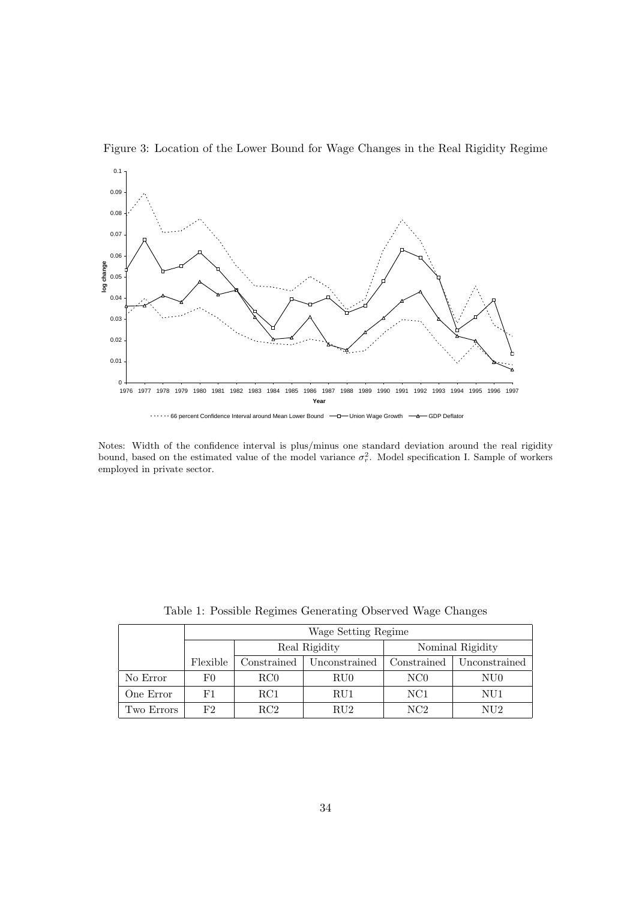

Figure 3: Location of the Lower Bound for Wage Changes in the Real Rigidity Regime

Notes: Width of the confidence interval is plus/minus one standard deviation around the real rigidity bound, based on the estimated value of the model variance  $\sigma_r^2$ . Model specification I. Sample of workers employed in private sector.

|            |          | Wage Setting Regime |               |                  |               |  |  |  |  |  |  |  |  |
|------------|----------|---------------------|---------------|------------------|---------------|--|--|--|--|--|--|--|--|
|            |          |                     | Real Rigidity | Nominal Rigidity |               |  |  |  |  |  |  |  |  |
|            | Flexible | Constrained         | Unconstrained | Constrained      | Unconstrained |  |  |  |  |  |  |  |  |
| No Error   | F0       | RC0                 | RU0           | N <sub>CO</sub>  | NU0           |  |  |  |  |  |  |  |  |
| One Error  | F1       | $_{\rm RC1}$        | RU1           | NC1              | NU1           |  |  |  |  |  |  |  |  |
| Two Errors | F2       | RC2                 | $\rm RU2$     | NC2              | NU2           |  |  |  |  |  |  |  |  |

Table 1: Possible Regimes Generating Observed Wage Changes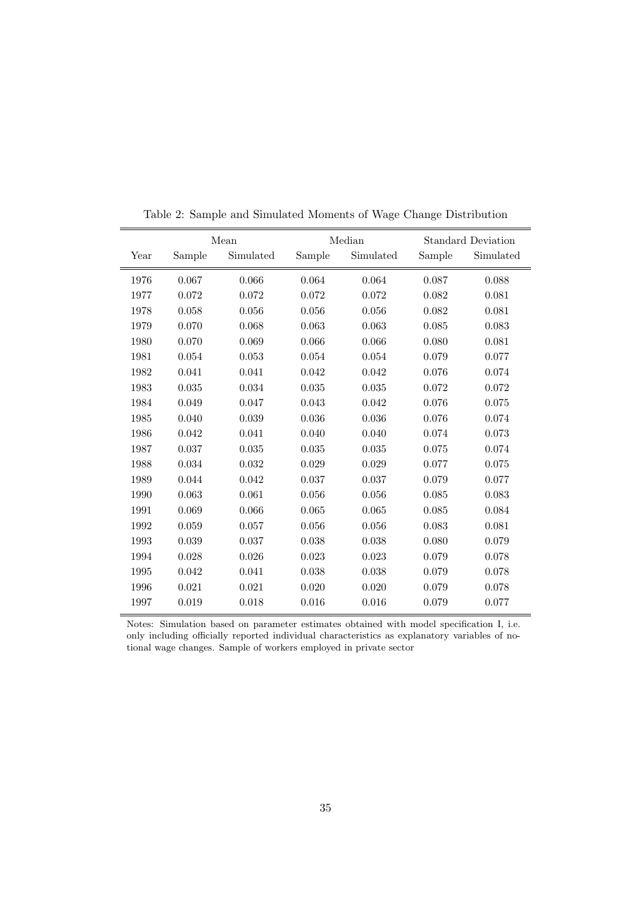|      |        | Mean      |        | Median    |        | <b>Standard Deviation</b> |
|------|--------|-----------|--------|-----------|--------|---------------------------|
| Year | Sample | Simulated | Sample | Simulated | Sample | Simulated                 |
| 1976 | 0.067  | 0.066     | 0.064  | 0.064     | 0.087  | 0.088                     |
| 1977 | 0.072  | 0.072     | 0.072  | 0.072     | 0.082  | 0.081                     |
| 1978 | 0.058  | 0.056     | 0.056  | 0.056     | 0.082  | 0.081                     |
| 1979 | 0.070  | 0.068     | 0.063  | 0.063     | 0.085  | 0.083                     |
| 1980 | 0.070  | 0.069     | 0.066  | 0.066     | 0.080  | 0.081                     |
| 1981 | 0.054  | 0.053     | 0.054  | 0.054     | 0.079  | 0.077                     |
| 1982 | 0.041  | 0.041     | 0.042  | 0.042     | 0.076  | 0.074                     |
| 1983 | 0.035  | 0.034     | 0.035  | 0.035     | 0.072  | 0.072                     |
| 1984 | 0.049  | 0.047     | 0.043  | 0.042     | 0.076  | 0.075                     |
| 1985 | 0.040  | 0.039     | 0.036  | $0.036\,$ | 0.076  | 0.074                     |
| 1986 | 0.042  | 0.041     | 0.040  | 0.040     | 0.074  | 0.073                     |
| 1987 | 0.037  | 0.035     | 0.035  | 0.035     | 0.075  | 0.074                     |
| 1988 | 0.034  | 0.032     | 0.029  | 0.029     | 0.077  | 0.075                     |
| 1989 | 0.044  | 0.042     | 0.037  | 0.037     | 0.079  | 0.077                     |
| 1990 | 0.063  | 0.061     | 0.056  | 0.056     | 0.085  | 0.083                     |
| 1991 | 0.069  | 0.066     | 0.065  | 0.065     | 0.085  | 0.084                     |
| 1992 | 0.059  | 0.057     | 0.056  | 0.056     | 0.083  | 0.081                     |
| 1993 | 0.039  | 0.037     | 0.038  | 0.038     | 0.080  | 0.079                     |
| 1994 | 0.028  | 0.026     | 0.023  | 0.023     | 0.079  | 0.078                     |
| 1995 | 0.042  | 0.041     | 0.038  | 0.038     | 0.079  | 0.078                     |
| 1996 | 0.021  | 0.021     | 0.020  | 0.020     | 0.079  | 0.078                     |
| 1997 | 0.019  | 0.018     | 0.016  | 0.016     | 0.079  | 0.077                     |

Table 2: Sample and Simulated Moments of Wage Change Distribution

Notes: Simulation based on parameter estimates obtained with model specification I, i.e. only including officially reported individual characteristics as explanatory variables of notional wage changes. Sample of workers employed in private sector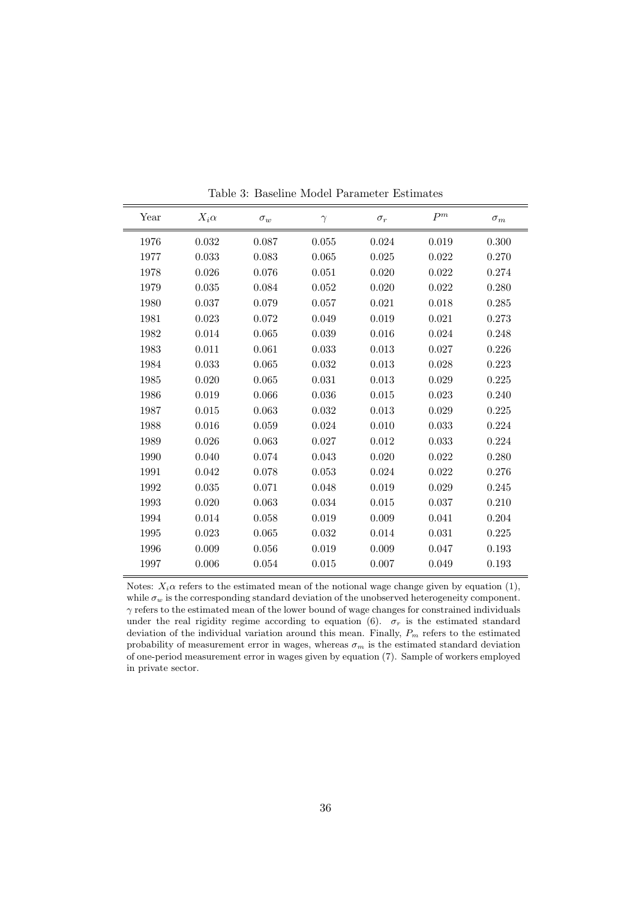| Year | $X_i\alpha$ | $\sigma_w$ | $\gamma$ | $\sigma_r$ | $P^m$ | $\sigma_m$ |
|------|-------------|------------|----------|------------|-------|------------|
| 1976 | 0.032       | 0.087      | 0.055    | 0.024      | 0.019 | 0.300      |
| 1977 | 0.033       | 0.083      | 0.065    | 0.025      | 0.022 | 0.270      |
| 1978 | 0.026       | 0.076      | 0.051    | 0.020      | 0.022 | 0.274      |
| 1979 | 0.035       | 0.084      | 0.052    | 0.020      | 0.022 | 0.280      |
| 1980 | 0.037       | 0.079      | 0.057    | 0.021      | 0.018 | 0.285      |
| 1981 | 0.023       | 0.072      | 0.049    | 0.019      | 0.021 | 0.273      |
| 1982 | 0.014       | 0.065      | 0.039    | 0.016      | 0.024 | 0.248      |
| 1983 | 0.011       | 0.061      | 0.033    | 0.013      | 0.027 | 0.226      |
| 1984 | 0.033       | 0.065      | 0.032    | 0.013      | 0.028 | 0.223      |
| 1985 | 0.020       | 0.065      | 0.031    | 0.013      | 0.029 | 0.225      |
| 1986 | 0.019       | 0.066      | 0.036    | 0.015      | 0.023 | 0.240      |
| 1987 | 0.015       | 0.063      | 0.032    | 0.013      | 0.029 | 0.225      |
| 1988 | 0.016       | 0.059      | 0.024    | 0.010      | 0.033 | 0.224      |
| 1989 | 0.026       | 0.063      | 0.027    | 0.012      | 0.033 | 0.224      |
| 1990 | 0.040       | 0.074      | 0.043    | 0.020      | 0.022 | 0.280      |
| 1991 | 0.042       | 0.078      | 0.053    | 0.024      | 0.022 | 0.276      |
| 1992 | 0.035       | 0.071      | 0.048    | 0.019      | 0.029 | 0.245      |
| 1993 | 0.020       | 0.063      | 0.034    | 0.015      | 0.037 | 0.210      |
| 1994 | 0.014       | 0.058      | 0.019    | 0.009      | 0.041 | 0.204      |
| 1995 | 0.023       | 0.065      | 0.032    | 0.014      | 0.031 | 0.225      |
| 1996 | 0.009       | 0.056      | 0.019    | 0.009      | 0.047 | 0.193      |
| 1997 | 0.006       | 0.054      | 0.015    | 0.007      | 0.049 | 0.193      |

Table 3: Baseline Model Parameter Estimates

Notes:  $X_i \alpha$  refers to the estimated mean of the notional wage change given by equation (1), while  $\sigma_w$  is the corresponding standard deviation of the unobserved heterogeneity component.  $\gamma$  refers to the estimated mean of the lower bound of wage changes for constrained individuals under the real rigidity regime according to equation (6).  $\sigma_r$  is the estimated standard deviation of the individual variation around this mean. Finally,  $P_m$  refers to the estimated probability of measurement error in wages, whereas  $\sigma_m$  is the estimated standard deviation of one-period measurement error in wages given by equation (7). Sample of workers employed in private sector.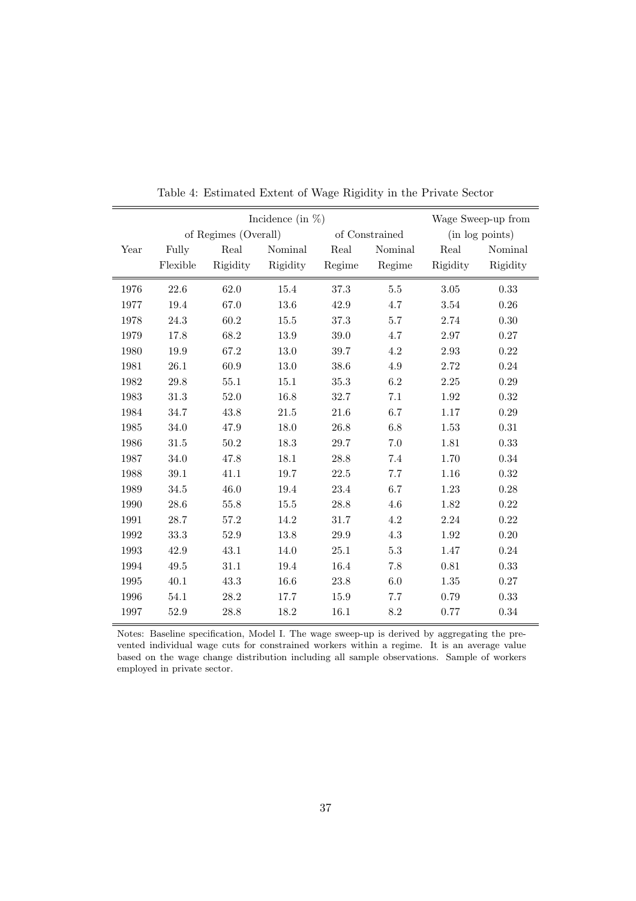|      |          | Incidence (in $\%$ ) |          |        | Wage Sweep-up from |          |                 |
|------|----------|----------------------|----------|--------|--------------------|----------|-----------------|
|      |          | of Regimes (Overall) |          |        | of Constrained     |          | (in log points) |
| Year | Fully    | Real                 | Nominal  | Real   | Nominal            | Real     | Nominal         |
|      | Flexible | Rigidity             | Rigidity | Regime | Regime             | Rigidity | Rigidity        |
| 1976 | 22.6     | 62.0                 | 15.4     | 37.3   | $5.5\,$            | $3.05\,$ | 0.33            |
| 1977 | 19.4     | 67.0                 | 13.6     | 42.9   | 4.7                | 3.54     | 0.26            |
| 1978 | 24.3     | 60.2                 | 15.5     | 37.3   | 5.7                | 2.74     | 0.30            |
| 1979 | 17.8     | 68.2                 | 13.9     | 39.0   | 4.7                | 2.97     | 0.27            |
| 1980 | 19.9     | 67.2                 | 13.0     | 39.7   | 4.2                | 2.93     | 0.22            |
| 1981 | 26.1     | 60.9                 | 13.0     | 38.6   | 4.9                | 2.72     | 0.24            |
| 1982 | 29.8     | $55.1\,$             | 15.1     | 35.3   | 6.2                | $2.25\,$ | 0.29            |
| 1983 | 31.3     | 52.0                 | 16.8     | 32.7   | 7.1                | 1.92     | 0.32            |
| 1984 | 34.7     | 43.8                 | $21.5\,$ | 21.6   | 6.7                | 1.17     | 0.29            |
| 1985 | 34.0     | 47.9                 | 18.0     | 26.8   | 6.8                | 1.53     | $\rm 0.31$      |
| 1986 | 31.5     | $50.2\,$             | 18.3     | 29.7   | $7.0\,$            | 1.81     | 0.33            |
| 1987 | 34.0     | 47.8                 | 18.1     | 28.8   | 7.4                | 1.70     | 0.34            |
| 1988 | 39.1     | 41.1                 | 19.7     | 22.5   | 7.7                | 1.16     | 0.32            |
| 1989 | 34.5     | 46.0                 | 19.4     | 23.4   | 6.7                | 1.23     | 0.28            |
| 1990 | 28.6     | 55.8                 | 15.5     | 28.8   | 4.6                | 1.82     | 0.22            |
| 1991 | 28.7     | 57.2                 | 14.2     | 31.7   | 4.2                | 2.24     | 0.22            |
| 1992 | 33.3     | $52.9\,$             | 13.8     | 29.9   | $4.3\,$            | 1.92     | 0.20            |
| 1993 | 42.9     | 43.1                 | 14.0     | 25.1   | $5.3\,$            | 1.47     | 0.24            |
| 1994 | 49.5     | 31.1                 | 19.4     | 16.4   | 7.8                | 0.81     | 0.33            |
| 1995 | 40.1     | 43.3                 | 16.6     | 23.8   | $6.0\,$            | $1.35\,$ | $0.27\,$        |
| 1996 | 54.1     | $28.2\,$             | 17.7     | 15.9   | $7.7\,$            | 0.79     | 0.33            |
| 1997 | 52.9     | $28.8\,$             | 18.2     | 16.1   | $8.2\,$            | 0.77     | $0.34\,$        |

Table 4: Estimated Extent of Wage Rigidity in the Private Sector

Notes: Baseline specification, Model I. The wage sweep-up is derived by aggregating the prevented individual wage cuts for constrained workers within a regime. It is an average value based on the wage change distribution including all sample observations. Sample of workers employed in private sector.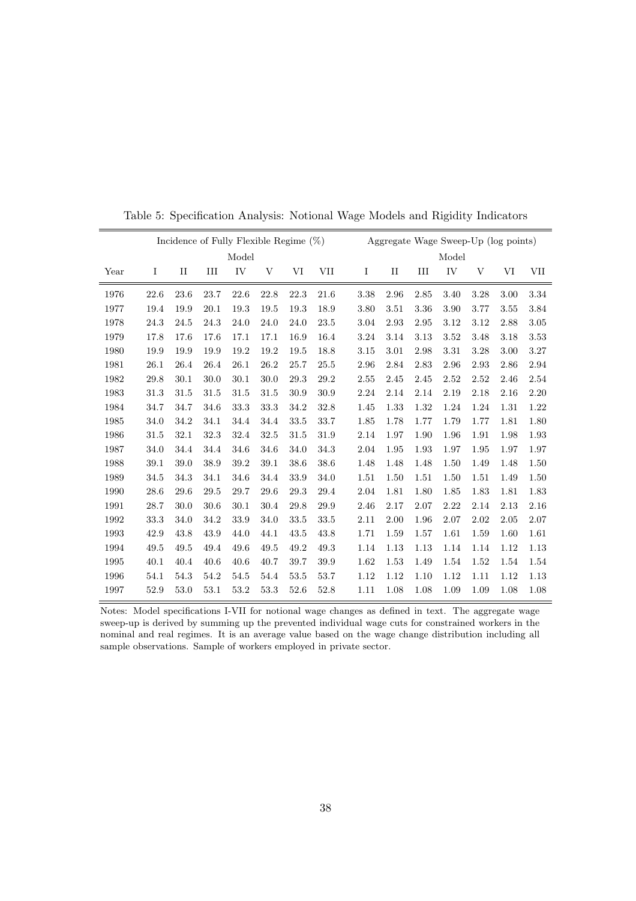| Incidence of Fully Flexible Regime $(\%)$ |          |             |      |      |      |      | Aggregate Wage Sweep-Up (log points) |      |             |      |      |      |      |      |
|-------------------------------------------|----------|-------------|------|------|------|------|--------------------------------------|------|-------------|------|------|------|------|------|
| Model                                     |          |             |      |      |      |      | Model                                |      |             |      |      |      |      |      |
| Year                                      | Ι        | $_{\rm II}$ | III  | IV   | V    | VI   | VII                                  | I    | $_{\rm II}$ | III  | IV   | V    | VI   | VII  |
| 1976                                      | 22.6     | 23.6        | 23.7 | 22.6 | 22.8 | 22.3 | 21.6                                 | 3.38 | 2.96        | 2.85 | 3.40 | 3.28 | 3.00 | 3.34 |
| 1977                                      | 19.4     | 19.9        | 20.1 | 19.3 | 19.5 | 19.3 | 18.9                                 | 3.80 | 3.51        | 3.36 | 3.90 | 3.77 | 3.55 | 3.84 |
| 1978                                      | 24.3     | 24.5        | 24.3 | 24.0 | 24.0 | 24.0 | 23.5                                 | 3.04 | 2.93        | 2.95 | 3.12 | 3.12 | 2.88 | 3.05 |
| 1979                                      | 17.8     | 17.6        | 17.6 | 17.1 | 17.1 | 16.9 | 16.4                                 | 3.24 | 3.14        | 3.13 | 3.52 | 3.48 | 3.18 | 3.53 |
| 1980                                      | 19.9     | 19.9        | 19.9 | 19.2 | 19.2 | 19.5 | 18.8                                 | 3.15 | 3.01        | 2.98 | 3.31 | 3.28 | 3.00 | 3.27 |
| 1981                                      | 26.1     | 26.4        | 26.4 | 26.1 | 26.2 | 25.7 | 25.5                                 | 2.96 | 2.84        | 2.83 | 2.96 | 2.93 | 2.86 | 2.94 |
| 1982                                      | 29.8     | 30.1        | 30.0 | 30.1 | 30.0 | 29.3 | 29.2                                 | 2.55 | 2.45        | 2.45 | 2.52 | 2.52 | 2.46 | 2.54 |
| 1983                                      | $31.3\,$ | 31.5        | 31.5 | 31.5 | 31.5 | 30.9 | 30.9                                 | 2.24 | 2.14        | 2.14 | 2.19 | 2.18 | 2.16 | 2.20 |
| 1984                                      | 34.7     | 34.7        | 34.6 | 33.3 | 33.3 | 34.2 | 32.8                                 | 1.45 | 1.33        | 1.32 | 1.24 | 1.24 | 1.31 | 1.22 |
| 1985                                      | 34.0     | 34.2        | 34.1 | 34.4 | 34.4 | 33.5 | 33.7                                 | 1.85 | 1.78        | 1.77 | 1.79 | 1.77 | 1.81 | 1.80 |
| 1986                                      | 31.5     | 32.1        | 32.3 | 32.4 | 32.5 | 31.5 | 31.9                                 | 2.14 | 1.97        | 1.90 | 1.96 | 1.91 | 1.98 | 1.93 |
| 1987                                      | 34.0     | 34.4        | 34.4 | 34.6 | 34.6 | 34.0 | 34.3                                 | 2.04 | 1.95        | 1.93 | 1.97 | 1.95 | 1.97 | 1.97 |
| 1988                                      | 39.1     | 39.0        | 38.9 | 39.2 | 39.1 | 38.6 | 38.6                                 | 1.48 | 1.48        | 1.48 | 1.50 | 1.49 | 1.48 | 1.50 |
| 1989                                      | 34.5     | 34.3        | 34.1 | 34.6 | 34.4 | 33.9 | 34.0                                 | 1.51 | 1.50        | 1.51 | 1.50 | 1.51 | 1.49 | 1.50 |
| 1990                                      | 28.6     | 29.6        | 29.5 | 29.7 | 29.6 | 29.3 | 29.4                                 | 2.04 | 1.81        | 1.80 | 1.85 | 1.83 | 1.81 | 1.83 |
| 1991                                      | 28.7     | 30.0        | 30.6 | 30.1 | 30.4 | 29.8 | 29.9                                 | 2.46 | 2.17        | 2.07 | 2.22 | 2.14 | 2.13 | 2.16 |
| 1992                                      | 33.3     | 34.0        | 34.2 | 33.9 | 34.0 | 33.5 | 33.5                                 | 2.11 | 2.00        | 1.96 | 2.07 | 2.02 | 2.05 | 2.07 |
| 1993                                      | 42.9     | 43.8        | 43.9 | 44.0 | 44.1 | 43.5 | 43.8                                 | 1.71 | 1.59        | 1.57 | 1.61 | 1.59 | 1.60 | 1.61 |
| 1994                                      | 49.5     | 49.5        | 49.4 | 49.6 | 49.5 | 49.2 | 49.3                                 | 1.14 | 1.13        | 1.13 | 1.14 | 1.14 | 1.12 | 1.13 |
| 1995                                      | 40.1     | 40.4        | 40.6 | 40.6 | 40.7 | 39.7 | 39.9                                 | 1.62 | 1.53        | 1.49 | 1.54 | 1.52 | 1.54 | 1.54 |
| 1996                                      | 54.1     | 54.3        | 54.2 | 54.5 | 54.4 | 53.5 | 53.7                                 | 1.12 | 1.12        | 1.10 | 1.12 | 1.11 | 1.12 | 1.13 |
| 1997                                      | 52.9     | 53.0        | 53.1 | 53.2 | 53.3 | 52.6 | 52.8                                 | 1.11 | 1.08        | 1.08 | 1.09 | 1.09 | 1.08 | 1.08 |

Table 5: Specification Analysis: Notional Wage Models and Rigidity Indicators

Notes: Model specifications I-VII for notional wage changes as defined in text. The aggregate wage sweep-up is derived by summing up the prevented individual wage cuts for constrained workers in the nominal and real regimes. It is an average value based on the wage change distribution including all sample observations. Sample of workers employed in private sector.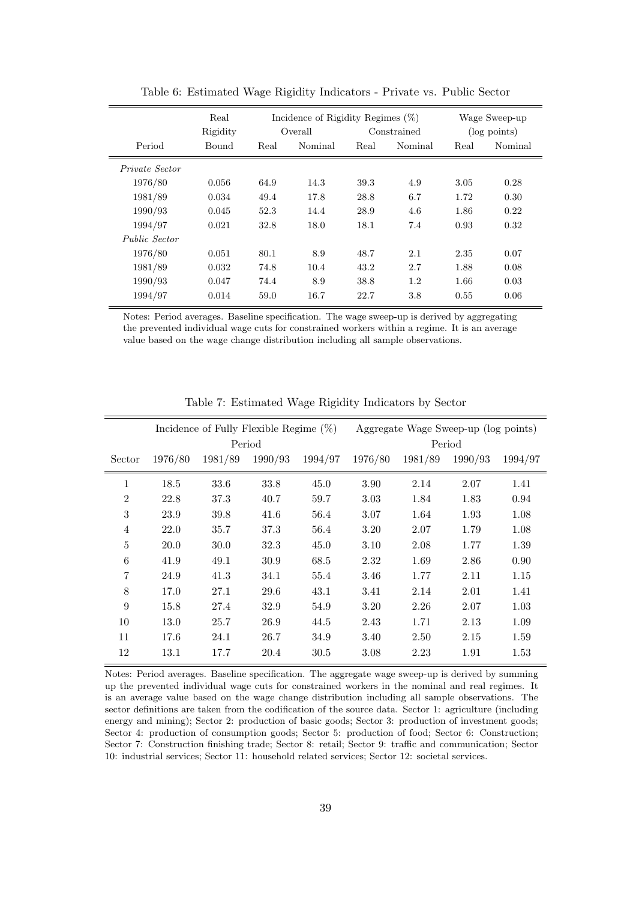|                      | Real<br>Rigidity |      | Incidence of Rigidity Regimes $(\%)$<br>Overall |      | Constrained | Wage Sweep-up<br>$(\log \text{points})$ |         |  |
|----------------------|------------------|------|-------------------------------------------------|------|-------------|-----------------------------------------|---------|--|
| Period               | Bound            | Real | Nominal                                         | Real | Nominal     | Real                                    | Nominal |  |
| Private Sector       |                  |      |                                                 |      |             |                                         |         |  |
| 1976/80              | 0.056            | 64.9 | 14.3                                            | 39.3 | 4.9         | 3.05                                    | 0.28    |  |
| 1981/89              | 0.034            | 49.4 | 17.8                                            | 28.8 | 6.7         | 1.72                                    | 0.30    |  |
| 1990/93              | 0.045            | 52.3 | 14.4                                            | 28.9 | 4.6         | 1.86                                    | 0.22    |  |
| 1994/97              | 0.021            | 32.8 | 18.0                                            | 18.1 | 7.4         | 0.93                                    | 0.32    |  |
| <i>Public Sector</i> |                  |      |                                                 |      |             |                                         |         |  |
| 1976/80              | 0.051            | 80.1 | 8.9                                             | 48.7 | 2.1         | 2.35                                    | 0.07    |  |
| 1981/89              | 0.032            | 74.8 | 10.4                                            | 43.2 | 2.7         | 1.88                                    | 0.08    |  |
| 1990/93              | 0.047            | 74.4 | 8.9                                             | 38.8 | 1.2         | 1.66                                    | 0.03    |  |
| 1994/97              | 0.014            | 59.0 | 16.7                                            | 22.7 | 3.8         | 0.55                                    | 0.06    |  |

Table 6: Estimated Wage Rigidity Indicators - Private vs. Public Sector

Notes: Period averages. Baseline specification. The wage sweep-up is derived by aggregating the prevented individual wage cuts for constrained workers within a regime. It is an average value based on the wage change distribution including all sample observations.

|                |         | Incidence of Fully Flexible Regime $(\%)$ |         |         | Aggregate Wage Sweep-up (log points) |         |         |         |  |  |
|----------------|---------|-------------------------------------------|---------|---------|--------------------------------------|---------|---------|---------|--|--|
|                |         |                                           | Period  |         |                                      |         | Period  |         |  |  |
| Sector         | 1976/80 | 1981/89                                   | 1990/93 | 1994/97 | 1976/80                              | 1981/89 | 1990/93 | 1994/97 |  |  |
| $\mathbf{1}$   | 18.5    | 33.6                                      | 33.8    | 45.0    | 3.90                                 | 2.14    | 2.07    | 1.41    |  |  |
| $\overline{2}$ | 22.8    | 37.3                                      | 40.7    | 59.7    | 3.03                                 | 1.84    | 1.83    | 0.94    |  |  |
| 3              | 23.9    | 39.8                                      | 41.6    | 56.4    | 3.07                                 | 1.64    | 1.93    | 1.08    |  |  |
| $\overline{4}$ | 22.0    | 35.7                                      | 37.3    | 56.4    | 3.20                                 | 2.07    | 1.79    | 1.08    |  |  |
| $\bf 5$        | 20.0    | 30.0                                      | 32.3    | 45.0    | 3.10                                 | 2.08    | 1.77    | 1.39    |  |  |
| 6              | 41.9    | 49.1                                      | 30.9    | 68.5    | 2.32                                 | 1.69    | 2.86    | 0.90    |  |  |
| $\overline{7}$ | 24.9    | 41.3                                      | 34.1    | 55.4    | 3.46                                 | 1.77    | 2.11    | 1.15    |  |  |
| 8              | 17.0    | 27.1                                      | 29.6    | 43.1    | 3.41                                 | 2.14    | 2.01    | 1.41    |  |  |
| 9              | 15.8    | 27.4                                      | 32.9    | 54.9    | 3.20                                 | 2.26    | 2.07    | 1.03    |  |  |
| 10             | 13.0    | 25.7                                      | 26.9    | 44.5    | 2.43                                 | 1.71    | 2.13    | 1.09    |  |  |
| 11             | 17.6    | 24.1                                      | 26.7    | 34.9    | 3.40                                 | 2.50    | 2.15    | 1.59    |  |  |
| 12             | 13.1    | 17.7                                      | 20.4    | 30.5    | 3.08                                 | 2.23    | 1.91    | 1.53    |  |  |

Table 7: Estimated Wage Rigidity Indicators by Sector

Notes: Period averages. Baseline specification. The aggregate wage sweep-up is derived by summing up the prevented individual wage cuts for constrained workers in the nominal and real regimes. It is an average value based on the wage change distribution including all sample observations. The sector definitions are taken from the codification of the source data. Sector 1: agriculture (including energy and mining); Sector 2: production of basic goods; Sector 3: production of investment goods; Sector 4: production of consumption goods; Sector 5: production of food; Sector 6: Construction; Sector 7: Construction finishing trade; Sector 8: retail; Sector 9: traffic and communication; Sector 10: industrial services; Sector 11: household related services; Sector 12: societal services.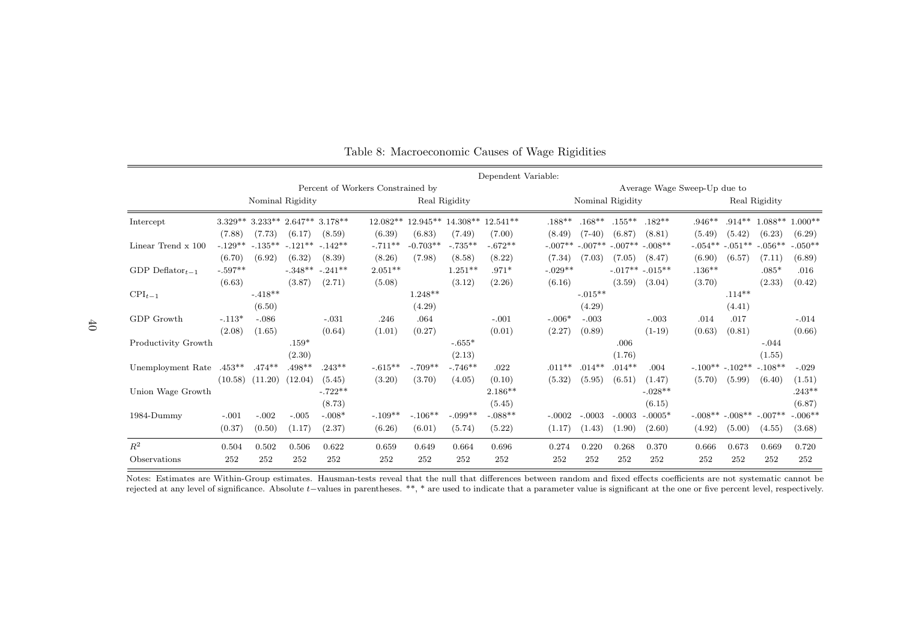|                       |           |           |                  |           |                                   |            |               | Dependent Variable: |           |           |                  |                  |                              |           |               |           |
|-----------------------|-----------|-----------|------------------|-----------|-----------------------------------|------------|---------------|---------------------|-----------|-----------|------------------|------------------|------------------------------|-----------|---------------|-----------|
|                       |           |           |                  |           | Percent of Workers Constrained by |            |               |                     |           |           |                  |                  | Average Wage Sweep-Up due to |           |               |           |
|                       |           |           | Nominal Rigidity |           |                                   |            | Real Rigidity |                     |           |           | Nominal Rigidity |                  |                              |           | Real Rigidity |           |
| Intercept             | $3.329**$ | $3.233**$ | $2.647**$        | $3.178**$ | $12.082**$                        | $12.945**$ | $14.308**$    | $12.541**$          | $.188**$  | $.168**$  | $.155***$        | $.182**$         | $.946**$                     | $.914**$  | $1.088**$     | $1.000**$ |
|                       | (7.88)    | (7.73)    | (6.17)           | (8.59)    | (6.39)                            | (6.83)     | (7.49)        | (7.00)              | (8.49)    | $(7-40)$  | (6.87)           | (8.81)           | (5.49)                       | (5.42)    | (6.23)        | (6.29)    |
| Linear Trend x 100    | $-.129**$ | $-.135**$ | $-.121**$        | $-142**$  | $-.711**$                         | $-0.703**$ | $-.735**$     | $-.672**$           | $-.007**$ | $-.007**$ | $-.007**$        | $-.008**$        | $-.054**$                    | $-.051**$ | $-.056**$     | $-.050**$ |
|                       | (6.70)    | (6.92)    | (6.32)           | (8.39)    | (8.26)                            | (7.98)     | (8.58)        | (8.22)              | (7.34)    | (7.03)    | (7.05)           | (8.47)           | (6.90)                       | (6.57)    | (7.11)        | (6.89)    |
| GDP Deflator $_{t-1}$ | $-.597**$ |           | $-.348**$        | $-.241**$ | $2.051**$                         |            | $1.251**$     | $.971*$             | $-.029**$ |           |                  | $-.017**-.015**$ | $.136**$                     |           | $.085*$       | .016      |
|                       | (6.63)    |           | (3.87)           | (2.71)    | (5.08)                            |            | (3.12)        | (2.26)              | (6.16)    |           | (3.59)           | (3.04)           | (3.70)                       |           | (2.33)        | (0.42)    |
| $\text{CPI}_{t-1}$    |           | $-.418**$ |                  |           |                                   | $1.248**$  |               |                     |           | $-.015**$ |                  |                  |                              | $.114***$ |               |           |
|                       |           | (6.50)    |                  |           |                                   | (4.29)     |               |                     |           | (4.29)    |                  |                  |                              | (4.41)    |               |           |
| GDP Growth            | $-.113*$  | $-.086$   |                  | $-.031$   | .246                              | .064       |               | $-.001$             | $-.006*$  | $-.003$   |                  | $-.003$          | .014                         | .017      |               | $-.014$   |
|                       | (2.08)    | (1.65)    |                  | (0.64)    | (1.01)                            | (0.27)     |               | (0.01)              | (2.27)    | (0.89)    |                  | $(1-19)$         | (0.63)                       | (0.81)    |               | (0.66)    |
| Productivity Growth   |           |           | $.159*$          |           |                                   |            | $-.655*$      |                     |           |           | .006             |                  |                              |           | $-.044$       |           |
|                       |           |           | (2.30)           |           |                                   |            | (2.13)        |                     |           |           | (1.76)           |                  |                              |           | (1.55)        |           |
| Unemployment Rate     | $.453**$  | $.474**$  | $.498**$         | $.243**$  | $-.615**$                         | $-.709**$  | $-.746**$     | .022                | $.011**$  | $.014**$  | $.014**$         | .004             | $-.100**-.102**$             |           | $-.108**$     | $-.029$   |
|                       | (10.58)   | (11.20)   | (12.04)          | (5.45)    | (3.20)                            | (3.70)     | (4.05)        | (0.10)              | (5.32)    | (5.95)    | (6.51)           | (1.47)           | (5.70)                       | (5.99)    | (6.40)        | (1.51)    |
| Union Wage Growth     |           |           |                  | $-.722**$ |                                   |            |               | $2.186**$           |           |           |                  | $-.028**$        |                              |           |               | $.243**$  |
|                       |           |           |                  | (8.73)    |                                   |            |               | (5.45)              |           |           |                  | (6.15)           |                              |           |               | (6.87)    |
| 1984-Dummy            | $-.001$   | $-.002$   | $-.005$          | $-.008*$  | $-.109**$                         | $-.106**$  | $-.099**$     | $-.088**$           | $-.0002$  | $-.0003$  | $-.0003$         | $-.0005*$        | $-.008**$                    | $-.008**$ | $-.007**$     | $-.006**$ |
|                       | (0.37)    | (0.50)    | (1.17)           | (2.37)    | (6.26)                            | (6.01)     | (5.74)        | (5.22)              | (1.17)    | (1.43)    | (1.90)           | (2.60)           | (4.92)                       | (5.00)    | (4.55)        | (3.68)    |
| $R^2$                 | 0.504     | 0.502     | 0.506            | 0.622     | 0.659                             | 0.649      | 0.664         | 0.696               | 0.274     | 0.220     | 0.268            | 0.370            | 0.666                        | 0.673     | 0.669         | 0.720     |
| Observations          | 252       | 252       | 252              | 252       | 252                               | 252        | 252           | 252                 | 252       | 252       | 252              | 252              | 252                          | 252       | 252           | 252       |

Table 8: Macroeconomic Causes of Wage Rigidities

Notes: Estimates are Within-Group estimates. Hausman-tests reveal that the null that differences between random and fixed effects coefficients are not systematic cannot berejected at any level of significance. Absolute <sup>t</sup>−values in parentheses. \*\*, \* are used to indicate that <sup>a</sup> parameter value is significant at the one or five percent level, respectively.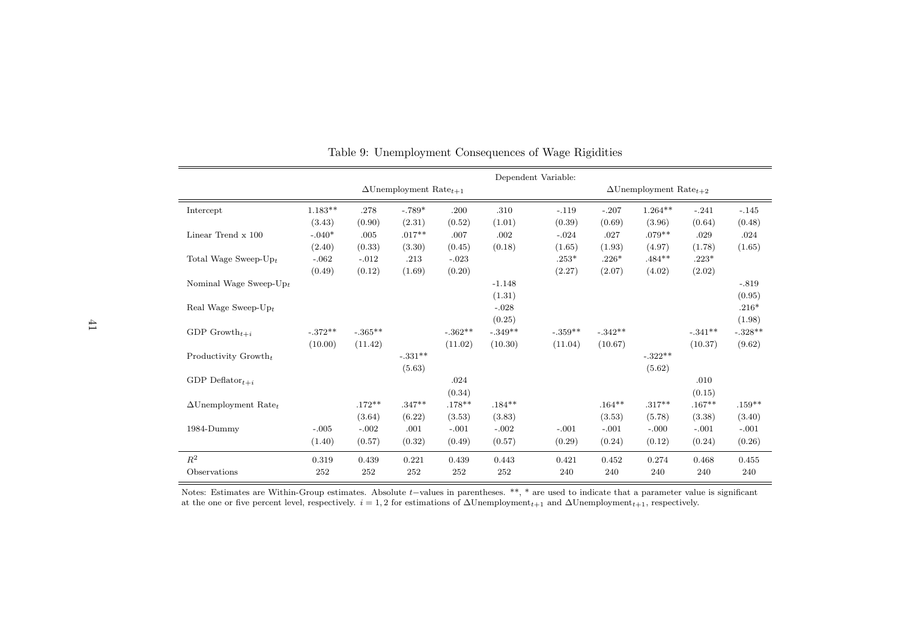|                                         |           |           |                                           |           |          | Dependent Variable: |           |                                           |          |           |
|-----------------------------------------|-----------|-----------|-------------------------------------------|-----------|----------|---------------------|-----------|-------------------------------------------|----------|-----------|
|                                         |           |           | $\Delta$ Unemployment Rate <sub>t+1</sub> |           |          |                     |           | $\Delta$ Unemployment Rate <sub>t+2</sub> |          |           |
| Intercept                               | $1.183**$ | .278      | $-.789*$                                  | .200      | .310     | $-.119$             | $-.207$   | $1.264**$                                 | $-.241$  | $-.145$   |
|                                         | (3.43)    | (0.90)    | (2.31)                                    | (0.52)    | (1.01)   | (0.39)              | (0.69)    | (3.96)                                    | (0.64)   | (0.48)    |
| Linear Trend x 100                      | $-.040*$  | .005      | $.017**$                                  | .007      | .002     | $-.024$             | .027      | $.079**$                                  | .029     | .024      |
|                                         | (2.40)    | (0.33)    | (3.30)                                    | (0.45)    | (0.18)   | (1.65)              | (1.93)    | (4.97)                                    | (1.78)   | (1.65)    |
| Total Wage Sweep- $Up_t$                | $-.062$   | $-.012$   | .213                                      | $-.023$   |          | $.253*$             | $.226*$   | $.484**$                                  | $.223*$  |           |
|                                         | (0.49)    | (0.12)    | (1.69)                                    | (0.20)    |          | (2.27)              | (2.07)    | (4.02)                                    | (2.02)   |           |
| Nominal Wage Sweep- $Up_t$              |           |           |                                           |           | $-1.148$ |                     |           |                                           |          | $-.819$   |
|                                         |           |           |                                           |           | (1.31)   |                     |           |                                           |          | (0.95)    |
| Real Wage Sweep- $Up_t$                 |           |           |                                           |           | $-.028$  |                     |           |                                           |          | $.216*$   |
|                                         |           |           |                                           |           | (0.25)   |                     |           |                                           |          | (1.98)    |
| GDP Growth <sub><math>t+i</math></sub>  | $-.372**$ | $-.365**$ |                                           | $-.362**$ | $-349**$ | $-.359^{**}$        | $-.342**$ |                                           | $-341**$ | $-.328**$ |
|                                         | (10.00)   | (11.42)   |                                           | (11.02)   | (10.30)  | (11.04)             | (10.67)   |                                           | (10.37)  | (9.62)    |
| Productivity $Growth_t$                 |           |           | $-.331**$                                 |           |          |                     |           | $-.322**$                                 |          |           |
|                                         |           |           | (5.63)                                    |           |          |                     |           | (5.62)                                    |          |           |
| GDP Deflator $_{t+i}$                   |           |           |                                           | .024      |          |                     |           |                                           | .010     |           |
|                                         |           |           |                                           | (0.34)    |          |                     |           |                                           | (0.15)   |           |
| $\Delta$ Unemployment Rate <sub>t</sub> |           | $.172**$  | $.347**$                                  | $.178**$  | $.184**$ |                     | $.164***$ | $.317**$                                  | $.167**$ | $.159**$  |
|                                         |           | (3.64)    | (6.22)                                    | (3.53)    | (3.83)   |                     | (3.53)    | (5.78)                                    | (3.38)   | (3.40)    |
| 1984-Dummy                              | $-.005$   | $-.002$   | .001                                      | $-.001$   | $-.002$  | $-.001$             | $-.001$   | $-.000$                                   | $-.001$  | $-.001$   |
|                                         | (1.40)    | (0.57)    | (0.32)                                    | (0.49)    | (0.57)   | (0.29)              | (0.24)    | (0.12)                                    | (0.24)   | (0.26)    |
| $\mathbb{R}^2$                          | 0.319     | 0.439     | 0.221                                     | 0.439     | 0.443    | 0.421               | 0.452     | 0.274                                     | 0.468    | 0.455     |
| Observations                            | 252       | 252       | 252                                       | 252       | 252      | 240                 | 240       | 240                                       | 240      | 240       |

Table 9: Unemployment Consequences of Wage Rigidities

Notes: Estimates are Within-Group estimates. Absolute  $t$ -values in parentheses. \*\*, \* are used to indicate that a parameter value is significant<br>at the one or five percent level, respectively.  $i = 1, 2$  for estimations o